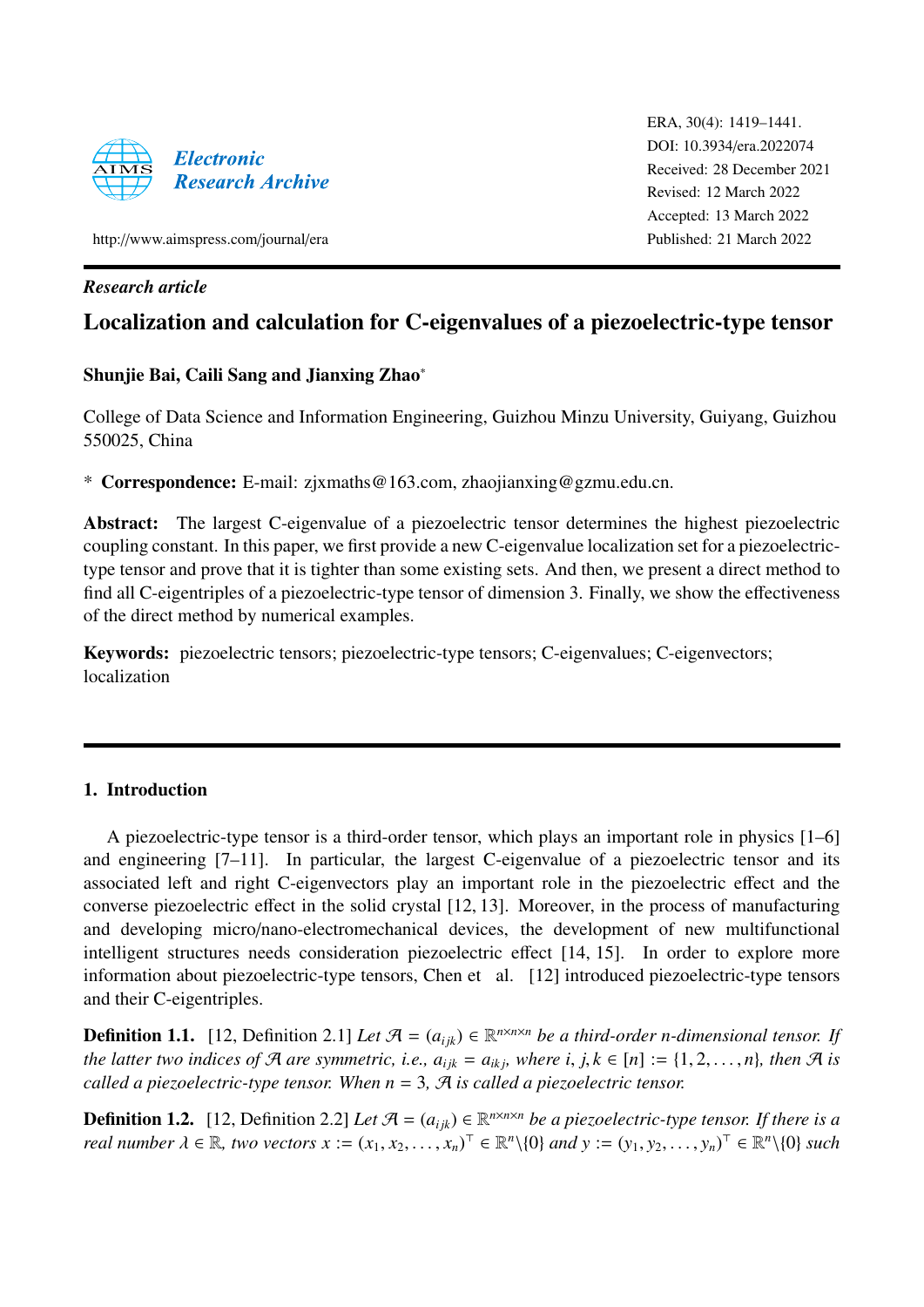

ERA, 30(4): 1419–1441. [DOI: 10.3934](http://dx.doi.org/10.3934/era.2022074)/era.2022074 Received: 28 December 2021 Revised: 12 March 2022 Accepted: 13 March 2022 Published: 21 March 2022

http://[www.aimspress.com](http://http://www.aimspress.com/journal/era)/journal/era

# *Research article*

# Localization and calculation for C-eigenvalues of a piezoelectric-type tensor

# Shunjie Bai, Caili Sang and Jianxing Zhao<sup>∗</sup>

College of Data Science and Information Engineering, Guizhou Minzu University, Guiyang, Guizhou 550025, China

\* Correspondence: E-mail: zjxmaths@163.com, zhaojianxing@gzmu.edu.cn.

Abstract: The largest C-eigenvalue of a piezoelectric tensor determines the highest piezoelectric coupling constant. In this paper, we first provide a new C-eigenvalue localization set for a piezoelectrictype tensor and prove that it is tighter than some existing sets. And then, we present a direct method to find all C-eigentriples of a piezoelectric-type tensor of dimension 3. Finally, we show the effectiveness of the direct method by numerical examples.

Keywords: piezoelectric tensors; piezoelectric-type tensors; C-eigenvalues; C-eigenvectors; localization

# 1. Introduction

A piezoelectric-type tensor is a third-order tensor, which plays an important role in physics [\[1](#page-16-0)[–6\]](#page-16-1) and engineering [\[7](#page-16-2)[–11\]](#page-17-0). In particular, the largest C-eigenvalue of a piezoelectric tensor and its associated left and right C-eigenvectors play an important role in the piezoelectric effect and the converse piezoelectric effect in the solid crystal [\[12,](#page-17-1) [13\]](#page-17-2). Moreover, in the process of manufacturing and developing micro/nano-electromechanical devices, the development of new multifunctional intelligent structures needs consideration piezoelectric effect [\[14,](#page-17-3) [15\]](#page-17-4). In order to explore more information about piezoelectric-type tensors, Chen et al. [\[12\]](#page-17-1) introduced piezoelectric-type tensors and their C-eigentriples.

**Definition 1.1.** [\[12,](#page-17-1) Definition 2.1] Let  $\mathcal{A} = (a_{ijk}) \in \mathbb{R}^{n \times n \times n}$  be a third-order n-dimensional tensor. If *the latter two indices of*  $\mathcal{A}$  *are symmetric, i.e.,*  $a_{ijk} = a_{ikj}$ *, where i, j,*  $k \in [n] := \{1, 2, \ldots, n\}$ *, then*  $\mathcal{A}$  *is called a piezoelectric-type tensor. When*  $n = 3$ *,*  $\mathcal{A}$  *is called a piezoelectric tensor.* 

<span id="page-0-0"></span>**Definition 1.2.** [\[12,](#page-17-1) Definition 2.2] Let  $\mathcal{A} = (a_{ijk}) \in \mathbb{R}^{n \times n \times n}$  be a piezoelectric-type tensor. If there is a *real number*  $\lambda \in \mathbb{R}$ , *two vectors*  $x := (x_1, x_2, \dots, x_n)^\top \in \mathbb{R}^n \setminus \{0\}$  and  $y := (y_1, y_2, \dots, y_n)^\top \in \mathbb{R}^n \setminus \{0\}$  such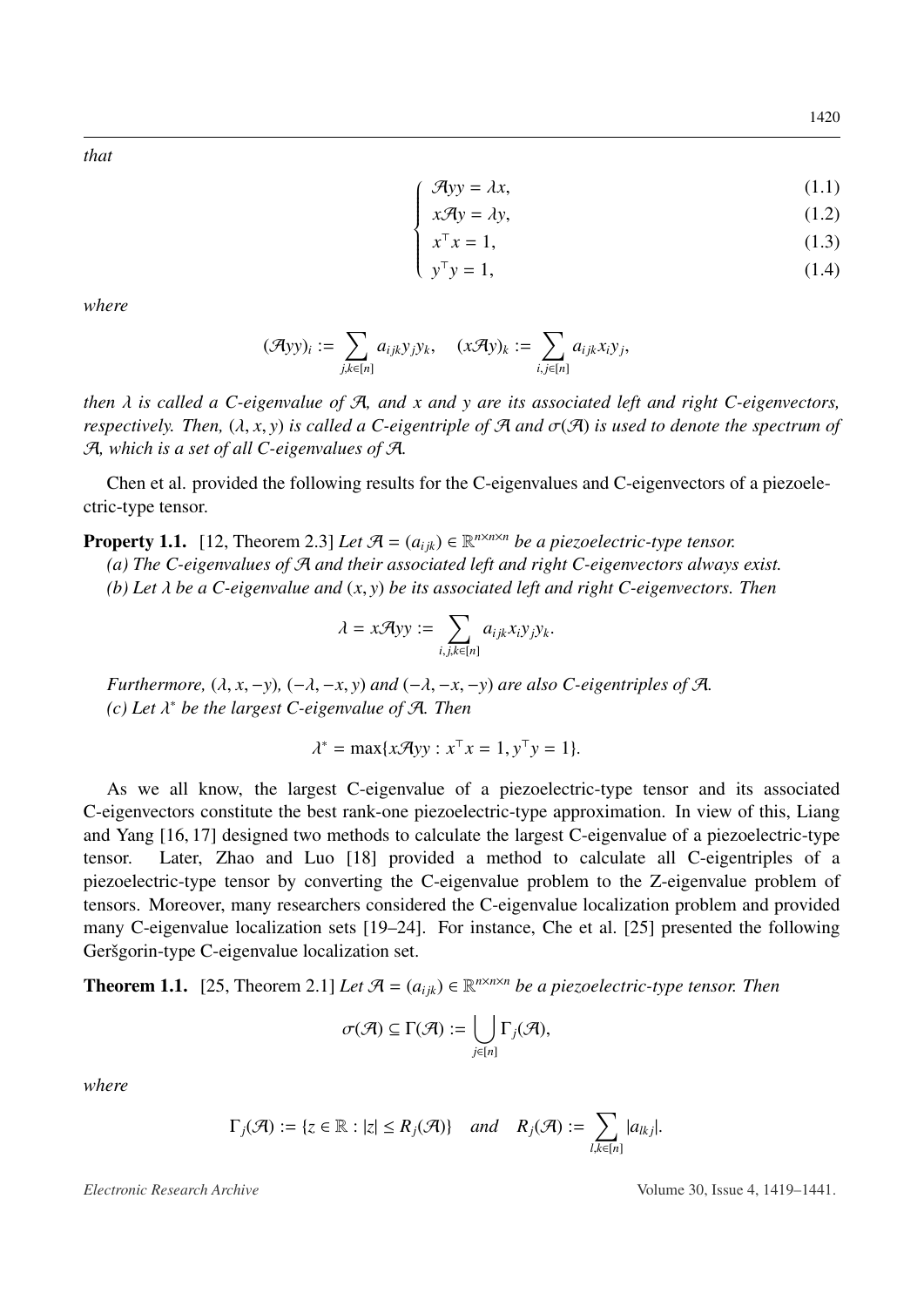*that*

$$
\mathcal{A}yy = \lambda x,\tag{1.1}
$$

$$
x\mathcal{A}y = \lambda y,\tag{1.2}
$$

$$
\begin{cases}\n x^{\top} x = 1, \\
 y^{\top} y = 1,\n\end{cases}
$$
\n(1.3)\n(1.4)

$$
y^{\top}y = 1,\tag{1.4}
$$

*where*

$$
(\mathcal{A}yy)_i:=\sum_{j,k\in [n]}a_{ijk}y_jy_k,\quad (x\mathcal{A}y)_k:=\sum_{i,j\in [n]}a_{ijk}x_iy_j,
$$

 $\sqrt{ }$ 

*then* λ *is called a C-eigenvalue of* <sup>A</sup>*, and x and y are its associated left and right C-eigenvectors, respectively. Then,*  $(\lambda, x, y)$  *is called a C-eigentriple of* A *and*  $\sigma(\mathcal{A})$  *is used to denote the spectrum of* A*, which is a set of all C-eigenvalues of* A*.*

Chen et al. provided the following results for the C-eigenvalues and C-eigenvectors of a piezoelectric-type tensor.

<span id="page-1-0"></span>**Property 1.1.** [\[12,](#page-17-1) Theorem 2.3] *Let*  $\mathcal{A} = (a_{ijk}) \in \mathbb{R}^{n \times n \times n}$  *be a piezoelectric-type tensor.* 

*(a) The C-eigenvalues of* A *and their associated left and right C-eigenvectors always exist.*

*(b) Let* λ *be a C-eigenvalue and* (*x*, *<sup>y</sup>*) *be its associated left and right C-eigenvectors. Then*

$$
\lambda = x\mathcal{A}yy := \sum_{i,j,k \in [n]} a_{ijk}x_i y_j y_k.
$$

*Furthermore,*  $(\lambda, x, -y)$ ,  $(-\lambda, -x, y)$  *and*  $(-\lambda, -x, -y)$  *are also C-eigentriples of* A. *(c) Let* λ <sup>∗</sup> *be the largest C-eigenvalue of* A*. Then*

$$
\lambda^* = \max\{x\mathcal{A}yy : x^\top x = 1, y^\top y = 1\}.
$$

As we all know, the largest C-eigenvalue of a piezoelectric-type tensor and its associated C-eigenvectors constitute the best rank-one piezoelectric-type approximation. In view of this, Liang and Yang [\[16,](#page-17-5) [17\]](#page-17-6) designed two methods to calculate the largest C-eigenvalue of a piezoelectric-type tensor. Later, Zhao and Luo [\[18\]](#page-17-7) provided a method to calculate all C-eigentriples of a piezoelectric-type tensor by converting the C-eigenvalue problem to the Z-eigenvalue problem of tensors. Moreover, many researchers considered the C-eigenvalue localization problem and provided many C-eigenvalue localization sets [\[19–](#page-17-8)[24\]](#page-17-9). For instance, Che et al. [\[25\]](#page-17-10) presented the following Geršgorin-type C-eigenvalue localization set.

<span id="page-1-1"></span>**Theorem 1.1.** [\[25,](#page-17-10) Theorem 2.1] *Let*  $\mathcal{A} = (a_{ijk}) \in \mathbb{R}^{n \times n \times n}$  *be a piezoelectric-type tensor. Then* 

$$
\sigma(\mathcal{A}) \subseteq \Gamma(\mathcal{A}) := \bigcup_{j \in [n]} \Gamma_j(\mathcal{A}),
$$

*where*

$$
\Gamma_j(\mathcal{A}) := \{ z \in \mathbb{R} : |z| \le R_j(\mathcal{A}) \} \quad and \quad R_j(\mathcal{A}) := \sum_{l,k \in [n]} |a_{lkj}|.
$$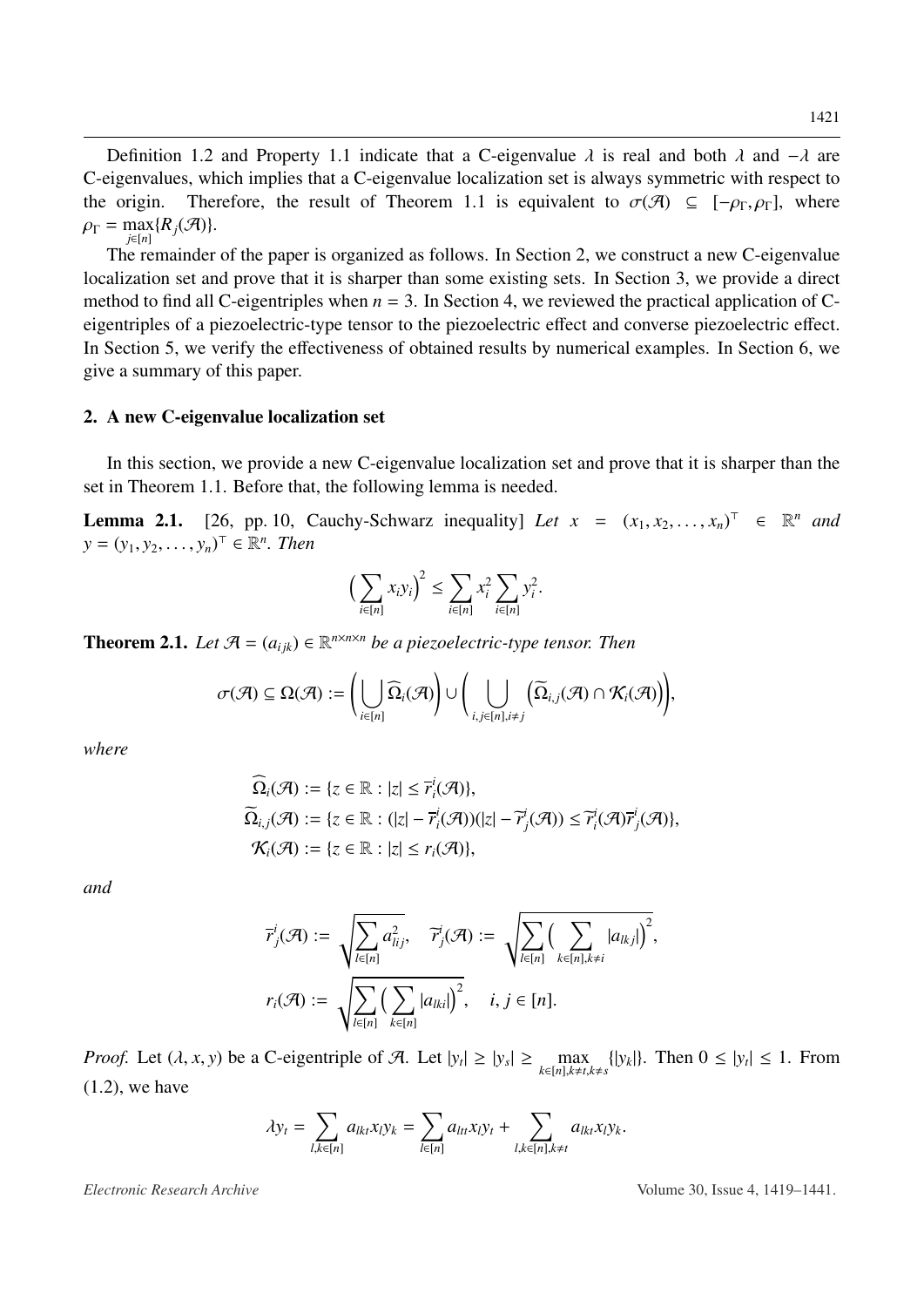1421

Definition [1.2](#page-0-0) and Property [1.1](#page-1-0) indicate that a C-eigenvalue  $\lambda$  is real and both  $\lambda$  and  $-\lambda$  are C-eigenvalues, which implies that a C-eigenvalue localization set is always symmetric with respect to the origin. Therefore, the result of Theorem [1.1](#page-1-1) is equivalent to  $\sigma(\mathcal{A}) \subseteq [-\rho_{\Gamma}, \rho_{\Gamma}]$ , where  $\rho_{\Gamma} = \max_{j \in [n]} \{R_j(\mathcal{A})\}.$ *j*∈[*n*]

The remainder of the paper is organized as follows. In Section 2, we construct a new C-eigenvalue localization set and prove that it is sharper than some existing sets. In Section 3, we provide a direct method to find all C-eigentriples when  $n = 3$ . In Section 4, we reviewed the practical application of Ceigentriples of a piezoelectric-type tensor to the piezoelectric effect and converse piezoelectric effect. In Section 5, we verify the effectiveness of obtained results by numerical examples. In Section 6, we give a summary of this paper.

### 2. A new C-eigenvalue localization set

In this section, we provide a new C-eigenvalue localization set and prove that it is sharper than the set in Theorem [1.1.](#page-1-1) Before that, the following lemma is needed.

<span id="page-2-0"></span>**Lemma 2.1.** [\[26,](#page-17-11) pp. 10, Cauchy-Schwarz inequality] *Let*  $x = (x_1, x_2, ..., x_n)^\top \in \mathbb{R}^n$  *and*  $y = (y_1, y_2, ..., y_n)^\top \in \mathbb{R}^n$  *Then*  $y = (y_1, y_2, ..., y_n)^{\top} \in \mathbb{R}^n$ . Then

$$
\left(\sum_{i\in[n]}x_iy_i\right)^2\leq \sum_{i\in[n]}x_i^2\sum_{i\in[n]}y_i^2.
$$

<span id="page-2-1"></span>**Theorem 2.1.** Let  $\mathcal{A} = (a_{ijk}) \in \mathbb{R}^{n \times n \times n}$  be a piezoelectric-type tensor. Then

$$
\sigma(\mathcal{A})\subseteq \Omega(\mathcal{A}):=\bigg(\bigcup_{i\in[n]}\widehat\Omega_i(\mathcal{A})\bigg)\cup\bigg(\bigcup_{i,j\in[n],i\neq j}\big(\widetilde\Omega_{i,j}(\mathcal{A})\cap\mathcal{K}_i(\mathcal{A})\big)\bigg),
$$

*where*

$$
\begin{aligned}\n\widehat{\Omega}_{i}(\mathcal{A}) &:= \{z \in \mathbb{R} : |z| \leq \overline{r}_{i}^{i}(\mathcal{A})\}, \\
\widetilde{\Omega}_{i,j}(\mathcal{A}) &:= \{z \in \mathbb{R} : (|z| - \overline{r}_{i}^{i}(\mathcal{A}))(|z| - \overline{r}_{j}^{i}(\mathcal{A})) \leq \overline{r}_{i}^{i}(\mathcal{A})\overline{r}_{j}^{i}(\mathcal{A})\}, \\
\mathcal{K}_{i}(\mathcal{A}) &:= \{z \in \mathbb{R} : |z| \leq r_{i}(\mathcal{A})\},\n\end{aligned}
$$

*and*

$$
\overline{r}_j^i(\mathcal{A}) := \sqrt{\sum_{l \in [n]} a_{lij}^2}, \quad \overline{r}_j^i(\mathcal{A}) := \sqrt{\sum_{l \in [n]} \Big(\sum_{k \in [n], k \neq i} |a_{lkj}|\Big)^2},
$$

$$
r_i(\mathcal{A}) := \sqrt{\sum_{l \in [n]} \Big(\sum_{k \in [n]} |a_{lki}|\Big)^2}, \quad i, j \in [n].
$$

*Proof.* Let  $(\lambda, x, y)$  be a C-eigentriple of A. Let  $|y_t| \ge |y_s| \ge \max_{k \in [n], k \ne t,}$  $k \in [n], k \neq t, k \neq s$  $\{|y_k|\}$ . Then  $0 \le |y_t| \le 1$ . From [\(1.2\)](#page-0-0), we have

$$
\lambda y_t = \sum_{l,k \in [n]} a_{lkt} x_l y_k = \sum_{l \in [n]} a_{ltt} x_l y_t + \sum_{l,k \in [n], k \neq t} a_{lkt} x_l y_k.
$$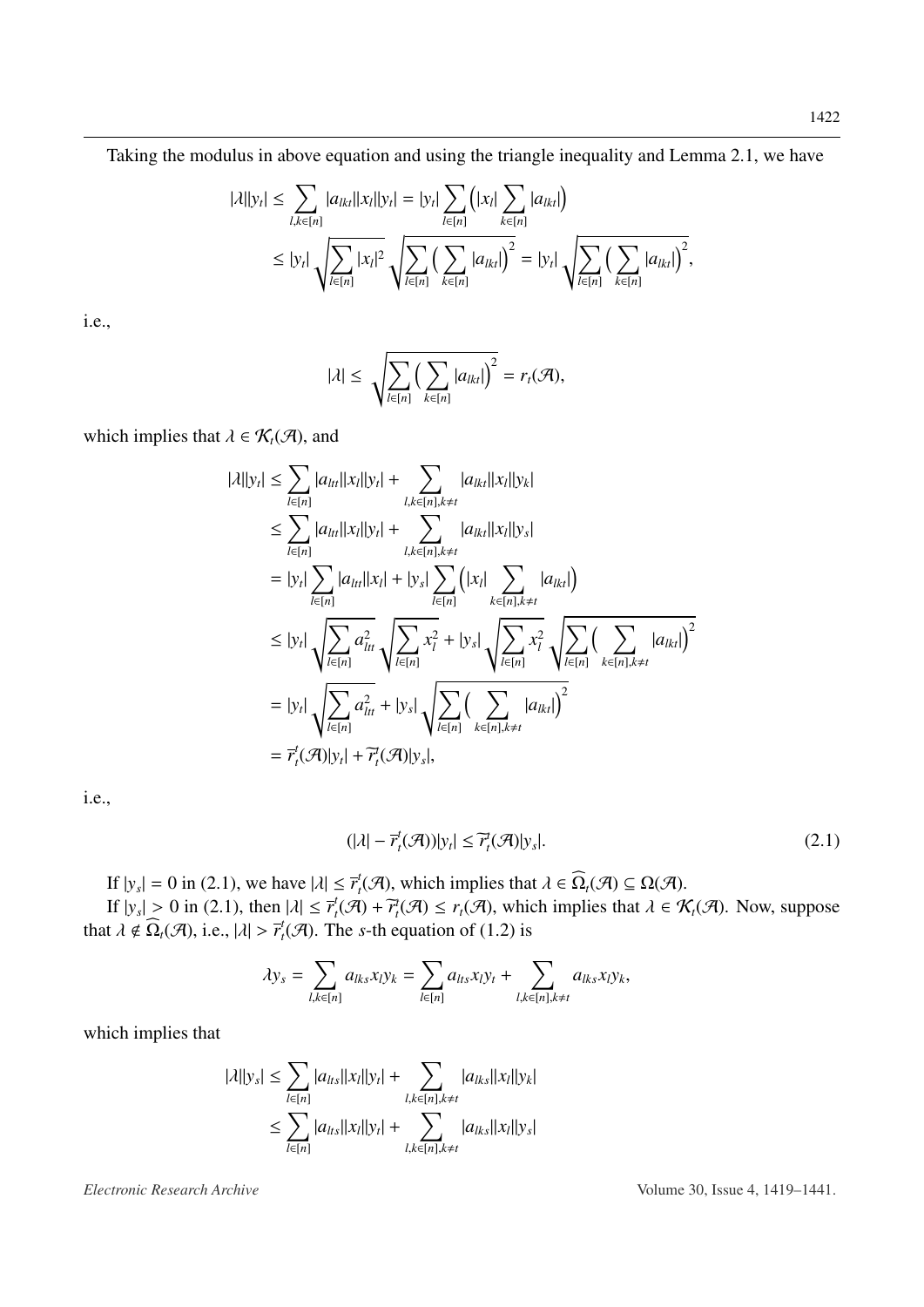Taking the modulus in above equation and using the triangle inequality and Lemma [2.1,](#page-2-0) we have

$$
|\lambda||y_t| \leq \sum_{l,k \in [n]} |a_{lkt}||x_l||y_t| = |y_t| \sum_{l \in [n]} (|x_l| \sum_{k \in [n]} |a_{lkt}|)
$$
  

$$
\leq |y_t| \sqrt{\sum_{l \in [n]} |x_l|^2} \sqrt{\sum_{l \in [n]} (\sum_{k \in [n]} |a_{lkt}|)^2} = |y_t| \sqrt{\sum_{l \in [n]} (\sum_{k \in [n]} |a_{lkt}|)^2},
$$

i.e.,

$$
|\lambda| \leq \sqrt{\sum_{l \in [n]} \left( \sum_{k \in [n]} |a_{lkl}|\right)^2} = r_l(\mathcal{A}),
$$

which implies that  $\lambda \in \mathcal{K}_t(\mathcal{A})$ , and

$$
|\lambda||y_t| \leq \sum_{l \in [n]} |a_{ltl}||x_l||y_t| + \sum_{l,k \in [n],k \neq t} |a_{lkl}||x_l||y_k|
$$
  
\n
$$
\leq \sum_{l \in [n]} |a_{ltl}||x_l||y_l| + \sum_{l,k \in [n],k \neq t} |a_{lkl}||x_l||y_s|
$$
  
\n
$$
= |y_t| \sum_{l \in [n]} |a_{ltl}||x_l| + |y_s| \sum_{l \in [n]} (|x_l| \sum_{k \in [n],k \neq t} |a_{lkl}|)
$$
  
\n
$$
\leq |y_t| \sqrt{\sum_{l \in [n]} a_{ltl}^2} \sqrt{\sum_{l \in [n]} x_l^2 + |y_s|} \sqrt{\sum_{l \in [n]} x_l^2} \sqrt{\sum_{l \in [n]} (\sum_{k \in [n],k \neq t} |a_{lkl}|)^2}
$$
  
\n
$$
= |y_t| \sqrt{\sum_{l \in [n]} a_{ltl}^2} + |y_s| \sqrt{\sum_{l \in [n]} (\sum_{k \in [n],k \neq t} |a_{lkl}|)^2}
$$
  
\n
$$
= \overline{r}_t^t(\mathcal{A})|y_t| + \overline{r}_t^t(\mathcal{A})|y_s|,
$$

i.e.,

<span id="page-3-0"></span>
$$
(|\lambda| - \overline{r}_t^t(\mathcal{A}))|y_t| \le \overline{r}_t^t(\mathcal{A})|y_s|.
$$
\n(2.1)

If  $|y_s| = 0$  in [\(2.1\)](#page-3-0), we have  $|\lambda| \leq \overline{r}_t^t$ <br>If  $|y_t| > 0$  in (2.1), then  $|\lambda| < \overline{r}_t^t$  (4)  $t_t^t(\mathcal{A})$ , which implies that  $\lambda \in \Omega_t(\mathcal{A}) \subseteq \Omega(\mathcal{A})$ .<br>  $\Omega + \mathcal{F}(\mathcal{A}) \leq r(\mathcal{A})$ , which implies that  $\lambda \in \mathcal{A}$ .

If  $|y_s| > 0$  in [\(2.1\)](#page-3-0), then  $|\lambda| \leq \overline{r}_t^t$ <br>  $|y_s| \neq \widehat{O}(\sqrt{a})$  i.e.  $|y| > \overline{r}_t^t(\sqrt{a})$ . T  $t_t^t(\mathcal{A}) + \overline{t}_t^t(\mathcal{A}) \le r_t(\mathcal{A})$ , which implies that  $\lambda \in \mathcal{K}_t(\mathcal{A})$ . Now, suppose that  $\lambda \notin \Omega_t(\mathcal{A})$ , i.e.,  $|\lambda| > \overline{r}_t^t$  $t_t^t(\mathcal{A})$ . The *s*-th equation of [\(1.2\)](#page-0-0) is

$$
\lambda y_s = \sum_{l,k \in [n]} a_{lks} x_l y_k = \sum_{l \in [n]} a_{lts} x_l y_l + \sum_{l,k \in [n], k \neq t} a_{lks} x_l y_k,
$$

which implies that

$$
|\lambda||y_s| \leq \sum_{l \in [n]} |a_{lts}||x_l||y_l| + \sum_{l,k \in [n], k \neq t} |a_{lks}||x_l||y_k|
$$
  

$$
\leq \sum_{l \in [n]} |a_{lts}||x_l||y_l| + \sum_{l,k \in [n], k \neq t} |a_{lks}||x_l||y_s|
$$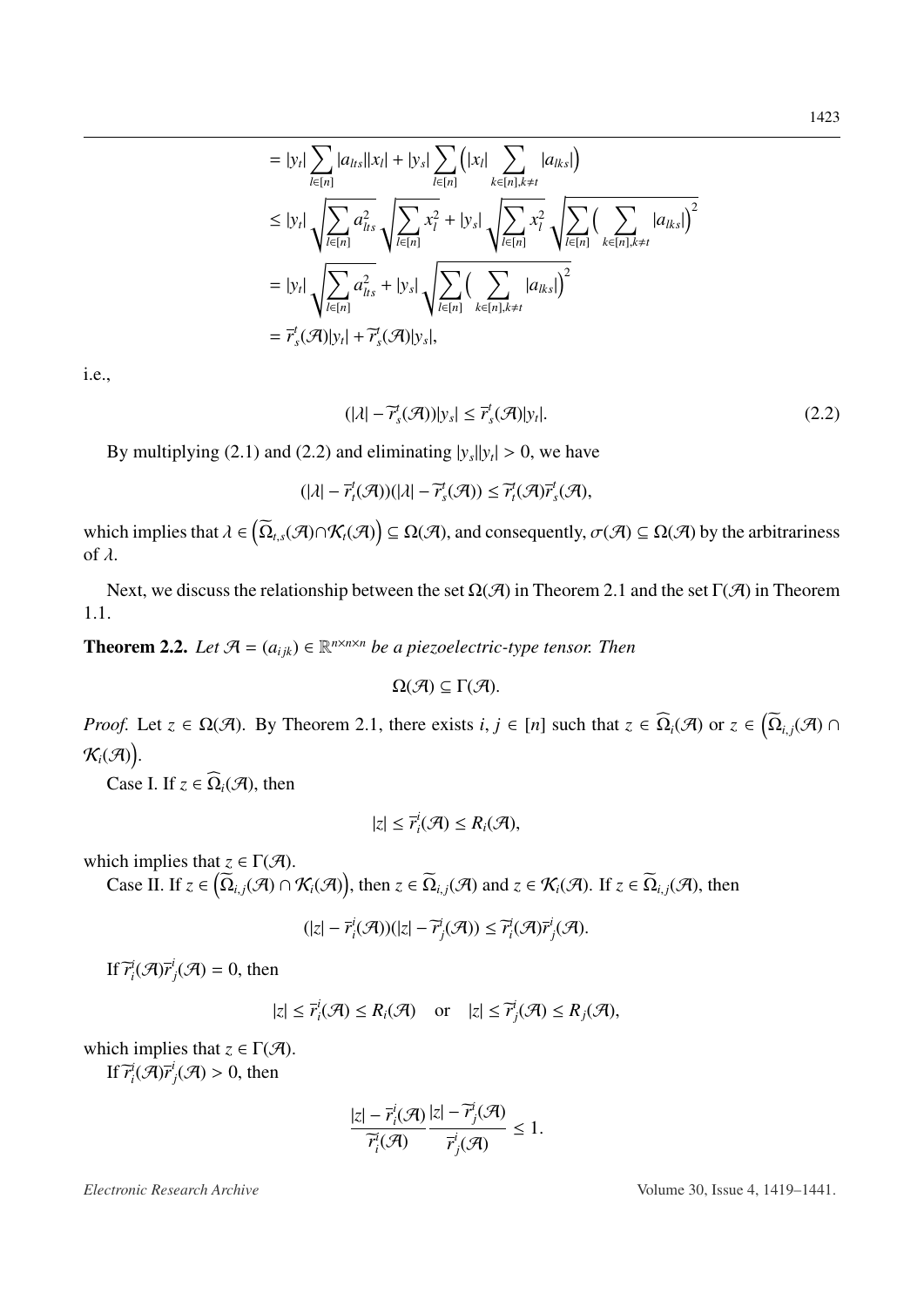$$
|a_{lts}||x_l| + |y_s| \sum_{l \in [n]} (|x_l| \sum_{k \in [n], k \neq t} |a_{lks}|)
$$
  

$$
\sum_{n=1}^{\infty} a_{lts}^2 \sqrt{\sum_{l \in [n]} x_l^2} + |y_s| \sqrt{\sum_{l \in [n]} x_l^2} \sqrt{\sum_{l \in [n]} (\sum_{k \in [n], k \neq t} |a_{lks}|)^2}
$$

$$
= |y_t| \sqrt{\sum_{l \in [n]} a_{lts}^2} + |y_s| \sqrt{\sum_{l \in [n]} \left(\sum_{k \in [n], k \neq t} |a_{lks}|\right)^2}
$$
  
=  $\overline{r}_s^t(\mathcal{A})|y_t| + \overline{r}_s^t(\mathcal{A})|y_s|,$ 

i.e.,

<span id="page-4-0"></span>
$$
(|\lambda| - \widetilde{r}_s^t(\mathcal{A}))|y_s| \le \overline{r}_s^t(\mathcal{A})|y_t|.
$$
\n(2.2)

By multiplying [\(2.1\)](#page-3-0) and [\(2.2\)](#page-4-0) and eliminating  $|y_s||y_t| > 0$ , we have

 $= |y_t| \sum_{i=1}^{n}$ | *l*∈[*n*]

 $\leq |y_t|$ |

*l*∈[*n*]

$$
(|\lambda| - \overline{r}_t^t(\mathcal{A}))(|\lambda| - \overline{r}_s^t(\mathcal{A})) \leq \overline{r}_t^t(\mathcal{A})\overline{r}_s^t(\mathcal{A}),
$$

which implies that  $\lambda \in (\overline{\Omega}_{t,s}(\mathcal{A}) \cap \mathcal{K}_t(\mathcal{A})) \subseteq \Omega(\mathcal{A})$ , and consequently,  $\sigma(\mathcal{A}) \subseteq \Omega(\mathcal{A})$  by the arbitrariness of  $\lambda$ .

Next, we discuss the relationship between the set  $\Omega(\mathcal{A})$  in Theorem [2.1](#page-2-1) and the set  $\Gamma(\mathcal{A})$  in Theorem [1.1.](#page-1-1)

<span id="page-4-1"></span>**Theorem 2.2.** Let  $\mathcal{A} = (a_{ijk}) \in \mathbb{R}^{n \times n \times n}$  be a piezoelectric-type tensor. Then

$$
\Omega(\mathcal{A})\subseteq \Gamma(\mathcal{A}).
$$

*Proof.* Let  $z \in \Omega(\mathcal{A})$ . By Theorem [2.1,](#page-2-1) there exists  $i, j \in [n]$  such that  $z \in \Omega_i(\mathcal{A})$  or  $z \in (\Omega_{i,j}(\mathcal{A}) \cap \Omega(\mathcal{A}))$  $\mathcal{K}_i(\mathcal{A})$ .

Case I. If  $z \in \widehat{\Omega}_i(\mathcal{A})$ , then

$$
|z| \leq \overline{r}_i^i(\mathcal{A}) \leq R_i(\mathcal{A}),
$$

which implies that  $z \in \Gamma(\mathcal{A})$ .

Case II. If  $z \in (\widetilde{\Omega}_{i,j}(\mathcal{A}) \cap \mathcal{K}_i(\mathcal{A}))$ , then  $z \in \widetilde{\Omega}_{i,j}(\mathcal{A})$  and  $z \in \mathcal{K}_i(\mathcal{A})$ . If  $z \in \widetilde{\Omega}_{i,j}(\mathcal{A})$ , then

$$
(|z| - \overline{r}_i^i(\mathcal{A}))(|z| - \overline{r}_j^i(\mathcal{A})) \leq \overline{r}_i^i(\mathcal{A})\overline{r}_j^i(\mathcal{A}).
$$

If  $\overline{r}^i_i(\mathcal{A})\overline{r}^i_j$  $j(\mathcal{A}) = 0$ , then

$$
|z| \le \overline{r}_i^i(\mathcal{A}) \le R_i(\mathcal{A}) \quad \text{or} \quad |z| \le \overline{r}_j^i(\mathcal{A}) \le R_j(\mathcal{A}),
$$

which implies that  $z \in \Gamma(\mathcal{A})$ . If  $\overline{r}^i_i(\mathcal{A})\overline{r}^i_j$  $j(\mathcal{A}) > 0$ , then

$$
\frac{|z| - \overline{r}_i^i(\mathcal{A})}{\overline{r}_i^i(\mathcal{A})} \frac{|z| - \overline{r}_j^i(\mathcal{A})}{\overline{r}_j^i(\mathcal{A})} \le 1.
$$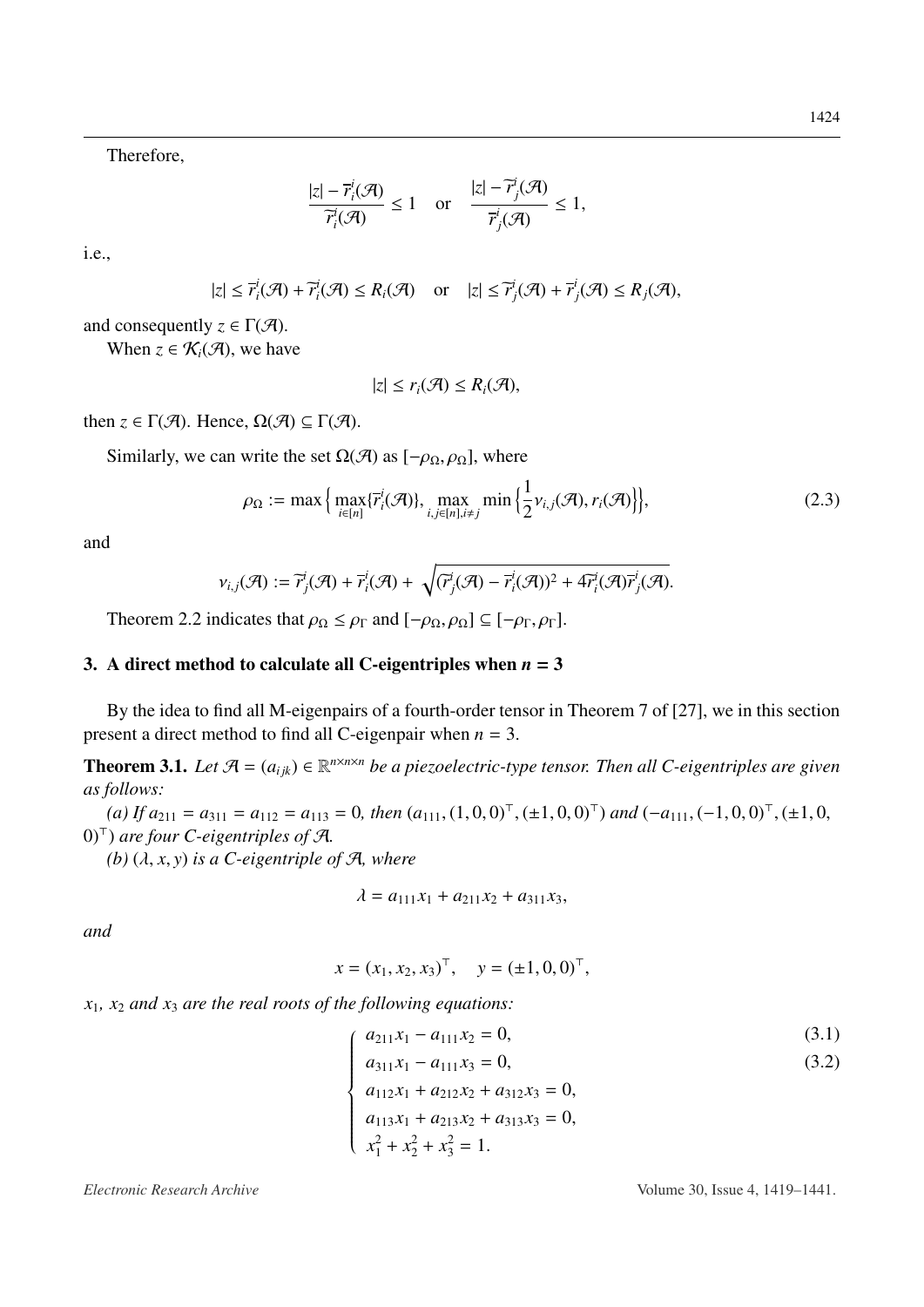Therefore,

$$
\frac{|z| - \overline{r}_i^i(\mathcal{A})}{\overline{r}_i^i(\mathcal{A})} \le 1 \quad \text{or} \quad \frac{|z| - \overline{r}_j^i(\mathcal{A})}{\overline{r}_j^i(\mathcal{A})} \le 1,
$$

i.e.,

$$
|z| \leq \overline{r}_i^i(\mathcal{A}) + \overline{r}_i^i(\mathcal{A}) \leq R_i(\mathcal{A}) \quad \text{or} \quad |z| \leq \overline{r}_j^i(\mathcal{A}) + \overline{r}_j^i(\mathcal{A}) \leq R_j(\mathcal{A}),
$$

and consequently  $z \in \Gamma(\mathcal{A})$ .

When  $z \in \mathcal{K}_i(\mathcal{A})$ , we have

$$
|z| \leq r_i(\mathcal{A}) \leq R_i(\mathcal{A}),
$$

then  $z \in \Gamma(\mathcal{A})$ . Hence,  $\Omega(\mathcal{A}) \subseteq \Gamma(\mathcal{A})$ .

Similarly, we can write the set  $\Omega(\mathcal{A})$  as  $[-\rho_0, \rho_0]$ , where

$$
\rho_{\Omega} := \max \Big\{ \max_{i \in [n]} \{ \overline{r}_i^i(\mathcal{A}) \}, \max_{i,j \in [n], i \neq j} \min \Big\{ \frac{1}{2} v_{i,j}(\mathcal{A}), r_i(\mathcal{A}) \Big\} \Big\},\tag{2.3}
$$

and

$$
\nu_{i,j}(\mathcal{A}) := \widetilde{r}_j^i(\mathcal{A}) + \overline{r}_i^i(\mathcal{A}) + \sqrt{(\widetilde{r}_j^i(\mathcal{A}) - \overline{r}_i^i(\mathcal{A}))^2 + 4\widetilde{r}_i^i(\mathcal{A})\overline{r}_j^i(\mathcal{A})}.
$$

Theorem [2.2](#page-4-1) indicates that  $\rho_{\Omega} \leq \rho_{\Gamma}$  and  $[-\rho_{\Omega}, \rho_{\Omega}] \subseteq [-\rho_{\Gamma}, \rho_{\Gamma}]$ .

### 3. A direct method to calculate all C-eigentriples when  $n = 3$

By the idea to find all M-eigenpairs of a fourth-order tensor in Theorem 7 of [\[27\]](#page-18-0), we in this section present a direct method to find all C-eigenpair when *n* = 3.

<span id="page-5-0"></span>**Theorem 3.1.** Let  $\mathcal{A} = (a_{ijk}) \in \mathbb{R}^{n \times n \times n}$  be a piezoelectric-type tensor. Then all C-eigentriples are given *as follows:*

 $(a)$  *If*  $a_{211} = a_{311} = a_{112} = a_{113} = 0$ , then  $(a_{111}, (1, 0, 0)^{T}, (\pm 1, 0, 0)^{T})$  and  $(-a_{111}, (-1, 0, 0)^{T}, (\pm 1, 0, 0)^{T})$ <br>
such four C eigentriples of  $\mathcal{A}$ 0)<sup>&</sup>gt; ) *are four C-eigentriples of* A*.*

 $(b)$   $(\lambda, x, y)$  *is a C-eigentriple of A, where* 

$$
\lambda = a_{111}x_1 + a_{211}x_2 + a_{311}x_3,
$$

*and*

$$
x = (x_1, x_2, x_3)^{\top}, \quad y = (\pm 1, 0, 0)^{\top},
$$

 $x_1, x_2$  *and*  $x_3$  *are the real roots of the following equations:* 

 $a_{211}x_1 - a_{111}x_2 = 0,$  (3.1)

$$
a_{311}x_1 - a_{111}x_3 = 0,\t\t(3.2)
$$

 $\begin{array}{c} \n\end{array}$  $\begin{array}{c} \hline \end{array}$  $a_{112}x_1 + a_{212}x_2 + a_{312}x_3 = 0,$  $a_{113}x_1 + a_{213}x_2 + a_{313}x_3 = 0,$ <br>  $a_{113}x_1 + a_{213}x_2 + a_{313}x_3 = 0,$  $x_1^2 + x_2^2 + x_3^2 = 1.$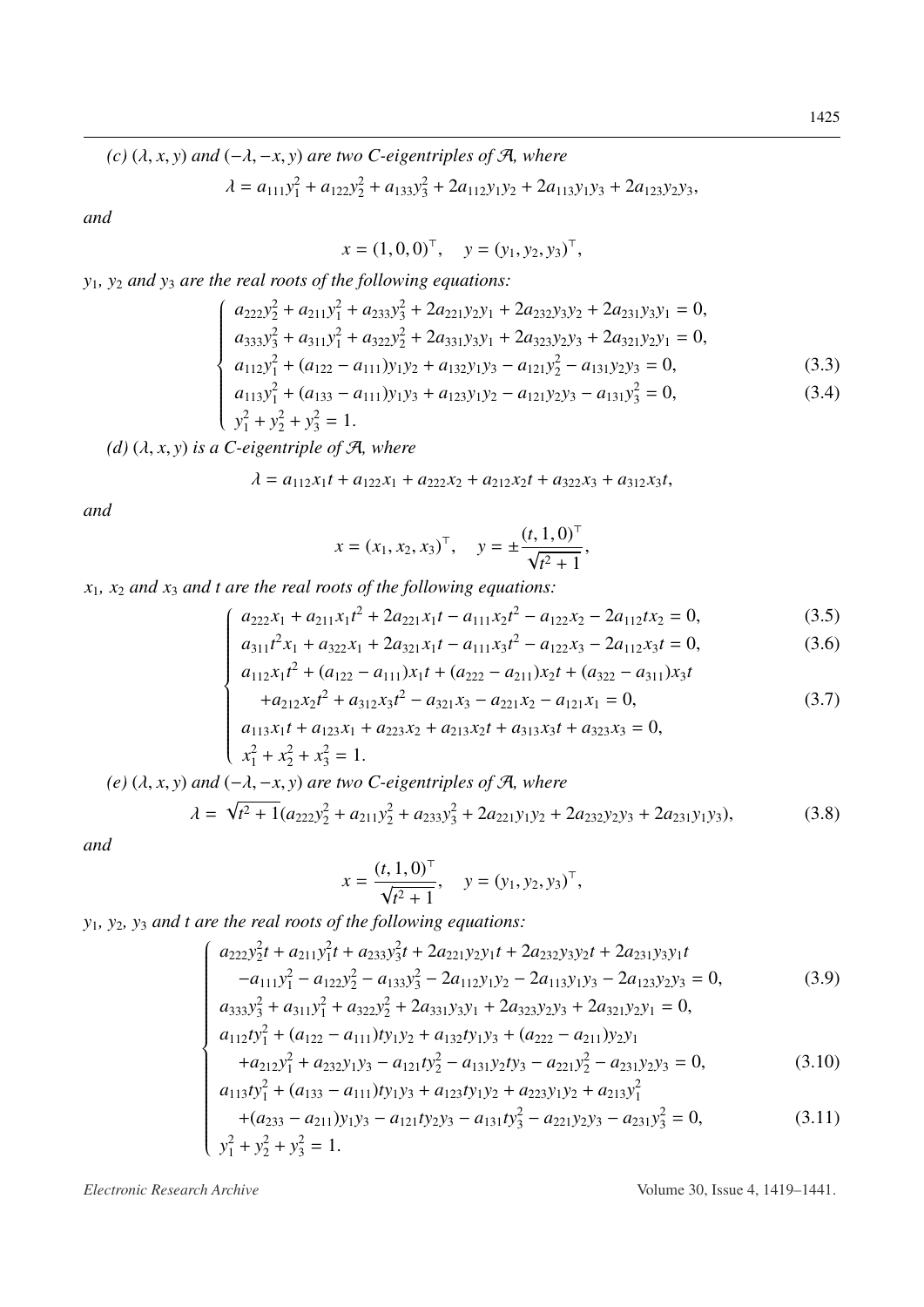(c)  $(\lambda, x, y)$  and  $(-\lambda, -x, y)$  are two C-eigentriples of A, where

$$
\lambda = a_{111}y_1^2 + a_{122}y_2^2 + a_{133}y_3^2 + 2a_{112}y_1y_2 + 2a_{113}y_1y_3 + 2a_{123}y_2y_3,
$$

and

 $x = (1, 0, 0)^{\top}, \quad y = (y_1, y_2, y_3)^{\top},$ 

 $y_1$ ,  $y_2$  and  $y_3$  are the real roots of the following equations:

$$
\begin{cases}\na_{222}y_2^2 + a_{211}y_1^2 + a_{233}y_3^2 + 2a_{221}y_2y_1 + 2a_{232}y_3y_2 + 2a_{231}y_3y_1 = 0, \\
a_{333}y_3^2 + a_{311}y_1^2 + a_{322}y_2^2 + 2a_{331}y_3y_1 + 2a_{323}y_2y_3 + 2a_{321}y_2y_1 = 0, \\
a_{112}y_1^2 + (a_{122} - a_{111})y_1y_2 + a_{132}y_1y_3 - a_{121}y_2^2 - a_{131}y_2y_3 = 0, \\
a_{113}y_1^2 + (a_{133} - a_{111})y_1y_3 + a_{123}y_1y_2 - a_{121}y_2y_3 - a_{131}y_3^2 = 0,\n\end{cases}
$$
\n(3.3)

$$
\frac{2}{1} + y_2^2 + y_3^2 = 1.
$$

 $\begin{cases} y_1^2 + y_2^2 + y_3^2 = 1. \end{cases}$ <br>(d)  $(\lambda, x, y)$  is a *C*-eigentriple of A, where

$$
\lambda = a_{112}x_1t + a_{122}x_1 + a_{222}x_2 + a_{212}x_2t + a_{322}x_3 + a_{312}x_3t
$$

and

$$
x = (x_1, x_2, x_3)^{\top}, \quad y = \pm \frac{(t, 1, 0)^{\top}}{\sqrt{t^2 + 1}}
$$

 $x_1$ ,  $x_2$  and  $x_3$  and t are the real roots of the following equations:

$$
a_{222}x_1 + a_{211}x_1t^2 + 2a_{221}x_1t - a_{111}x_2t^2 - a_{122}x_2 - 2a_{112}tx_2 = 0,\t\t(3.5)
$$

$$
a_{311}t^2x_1 + a_{322}x_1 + 2a_{321}x_1t - a_{111}x_3t^2 - a_{122}x_3 - 2a_{112}x_3t = 0,
$$
\n(3.6)

$$
a_{112}x_1t^2 + (a_{122} - a_{111})x_1t + (a_{222} - a_{211})x_2t + (a_{322} - a_{311})x_3t
$$
  
+
$$
a_{212}x_2t^2 + a_{312}x_3t^2 - a_{321}x_3 - a_{221}x_2 - a_{121}x_1 = 0.
$$
 (3.7)

$$
a_{311}t^{2}x_{1} + a_{322}x_{1} + 2a_{321}x_{1}t - a_{111}x_{3}t^{2} - a_{122}x_{3} - 2a_{112}x_{3}t = 0,
$$
\n(3.6)  
\n
$$
a_{112}x_{1}t^{2} + (a_{122} - a_{111})x_{1}t + (a_{222} - a_{211})x_{2}t + (a_{322} - a_{311})x_{3}t
$$
\n
$$
+ a_{212}x_{2}t^{2} + a_{312}x_{3}t^{2} - a_{321}x_{3} - a_{221}x_{2} - a_{121}x_{1} = 0,
$$
\n(3.7)  
\n
$$
a_{113}x_{1}t + a_{123}x_{1} + a_{223}x_{2} + a_{213}x_{2}t + a_{313}x_{3}t + a_{323}x_{3} = 0,
$$
\n(3.7)  
\n
$$
x_{1}^{2} + x_{2}^{2} + x_{3}^{2} = 1.
$$

(e)  $(\lambda, x, y)$  and  $(-\lambda, -x, y)$  are two C-eigentriples of A, where

$$
\lambda = \sqrt{t^2 + 1} (a_{222} y_2^2 + a_{211} y_2^2 + a_{233} y_3^2 + 2 a_{221} y_1 y_2 + 2 a_{232} y_2 y_3 + 2 a_{231} y_1 y_3),
$$
 (3.8)

and

<span id="page-6-0"></span>
$$
x = \frac{(t, 1, 0)^{\top}}{\sqrt{t^2 + 1}}, \quad y = (y_1, y_2, y_3)^{\top}
$$

 $y_1$ ,  $y_2$ ,  $y_3$  and t are the real roots of the following equations:

$$
a_{222}y_2^2t + a_{211}y_1^2t + a_{233}y_3^2t + 2a_{221}y_2y_1t + 2a_{232}y_3y_2t + 2a_{231}y_3y_1t
$$
  
\n
$$
-a_{111}y_1^2 - a_{122}y_2^2 - a_{133}y_3^2 - 2a_{112}y_1y_2 - 2a_{113}y_1y_3 - 2a_{123}y_2y_3 = 0,
$$
\n(3.9)  
\n
$$
a_{333}y_3^2 + a_{311}y_1^2 + a_{322}y_2^2 + 2a_{331}y_3y_1 + 2a_{323}y_2y_3 + 2a_{321}y_2y_1 = 0,
$$
  
\n
$$
a_{112}ty_1^2 + (a_{122} - a_{111})ty_1y_2 + a_{132}ty_1y_3 + (a_{222} - a_{211})y_2y_1
$$
  
\n
$$
+a_{212}y_1^2 + a_{232}y_1y_3 - a_{121}t_y_2^2 - a_{131}y_2t_y_3 - a_{221}y_2^2 - a_{231}y_2y_3 = 0,
$$
  
\n
$$
a_{113}ty_1^2 + (a_{133} - a_{111})ty_1y_3 + a_{123}ty_1y_2 + a_{223}y_1y_2 + a_{213}y_1^2 + a_{213}y_1^2 + (a_{233} - a_{211})y_1y_3 - a_{121}t y_2y_3 - a_{131}t y_3^2 - a_{221}y_2y_3 - a_{231}y_3^2 = 0,
$$
  
\n(3.11)  
\n
$$
y_1^2 + y_2^2 + y_3^2 = 1.
$$

Electronic Research Archive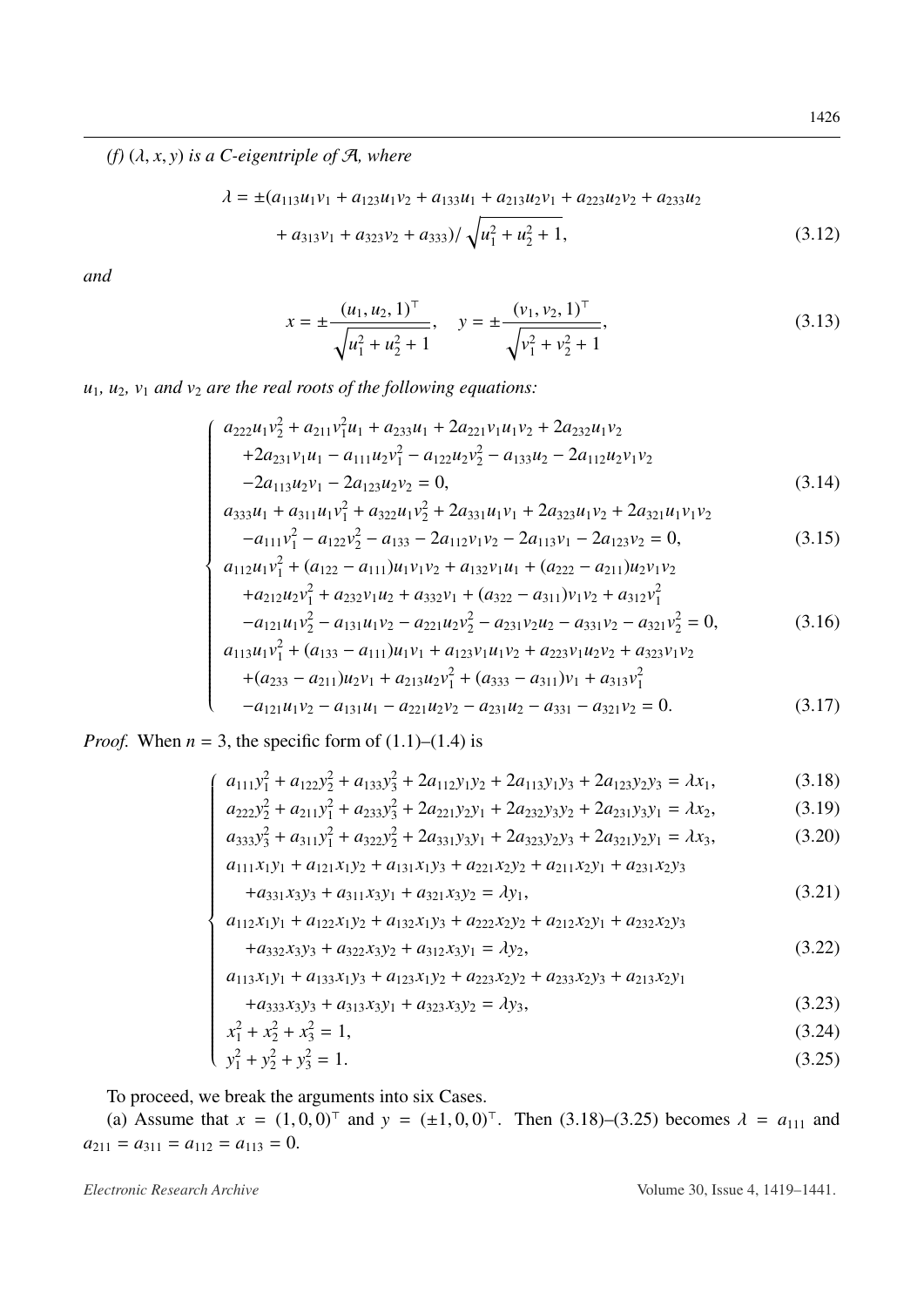(f)  $(\lambda, x, y)$  is a C-eigentriple of A, where

$$
\lambda = \pm (a_{113}u_1v_1 + a_{123}u_1v_2 + a_{133}u_1 + a_{213}u_2v_1 + a_{223}u_2v_2 + a_{233}u_2 + a_{313}v_1 + a_{323}v_2 + a_{333}) / \sqrt{u_1^2 + u_2^2 + 1},
$$
\n(3.12)

and

<span id="page-7-1"></span><span id="page-7-0"></span>
$$
x = \pm \frac{(u_1, u_2, 1)^{\top}}{\sqrt{u_1^2 + u_2^2 + 1}}, \quad y = \pm \frac{(v_1, v_2, 1)^{\top}}{\sqrt{v_1^2 + v_2^2 + 1}},
$$
(3.13)

 $u_1$ ,  $u_2$ ,  $v_1$  and  $v_2$  are the real roots of the following equations:

$$
a_{222}u_1v_2^2 + a_{211}v_1^2u_1 + a_{233}u_1 + 2a_{221}v_1u_1v_2 + 2a_{232}u_1v_2
$$
  
+2a\_{231}v\_1u\_1 - a\_{111}u\_2v\_1^2 - a\_{122}u\_2v\_2^2 - a\_{133}u\_2 - 2a\_{112}u\_2v\_1v\_2  
-2a\_{113}u\_2v\_1 - 2a\_{123}u\_2v\_2 = 0, (3.14)

$$
a_{333}u_1 + a_{311}u_1v_1^2 + a_{322}u_1v_2^2 + 2a_{331}u_1v_1 + 2a_{323}u_1v_2 + 2a_{321}u_1v_1v_2
$$
  

$$
a_{333}u_1 + a_{311}u_1v_1^2 + a_{322}u_1v_2^2 + 2a_{331}u_1v_1 + 2a_{323}u_1v_2 + 2a_{321}u_1v_1v_2
$$
 (3.15)

$$
-a_{111}v_1^2 - a_{122}v_2^2 - a_{133} - 2a_{112}v_1v_2 - 2a_{113}v_1 - 2a_{123}v_2 = 0,
$$
\n(3.15)  
\n
$$
a_{112}u_1v_1^2 + (a_{122} - a_{111})u_1v_1v_2 + a_{132}v_1u_1 + (a_{222} - a_{211})u_2v_1v_2 + a_{212}u_2v_1^2 + a_{232}v_1u_2 + a_{332}v_1 + (a_{322} - a_{311})v_1v_2 + a_{312}v_1^2
$$
\n(3.16)

$$
-a_{121}u_1v_2^2 - a_{131}u_1v_2 - a_{221}u_2v_2^2 - a_{231}v_2u_2 - a_{331}v_2 - a_{321}v_2^2 = 0,
$$
(3.16)  
\n
$$
a_{113}u_1v_1^2 + (a_{133} - a_{111})u_1v_1 + a_{123}v_1u_1v_2 + a_{223}v_1u_2v_2 + a_{323}v_1v_2
$$
\n
$$
+ (a_{233} - a_{211})u_2v_1 + a_{213}u_2v_1^2 + (a_{333} - a_{311})v_1 + a_{313}v_1^2
$$
\n
$$
-a_{121}u_1v_2 - a_{131}u_1 - a_{221}u_2v_2 - a_{231}u_2 - a_{331} - a_{321}v_2 = 0.
$$
(3.17)

*Proof.* When  $n = 3$ , the specific form of  $(1.1)$ – $(1.4)$  is

$$
a_{111}y_1^2 + a_{122}y_2^2 + a_{133}y_3^2 + 2a_{112}y_1y_2 + 2a_{113}y_1y_3 + 2a_{123}y_2y_3 = \lambda x_1,
$$
(3.18)  
\n
$$
a_{222}y_2^2 + a_{211}y_1^2 + a_{233}y_3^2 + 2a_{221}y_2y_1 + 2a_{232}y_3y_2 + 2a_{231}y_3y_1 = \lambda x_2,
$$
(3.19)  
\n
$$
a_{333}y_3^2 + a_{311}y_1^2 + a_{322}y_2^2 + 2a_{331}y_3y_1 + 2a_{323}y_2y_3 + 2a_{321}y_2y_1 = \lambda x_3,
$$
(3.20)  
\n
$$
a_{111}x_1y_1 + a_{121}x_1y_2 + a_{131}x_1y_3 + a_{221}x_2y_2 + a_{211}x_2y_1 + a_{231}x_2y_3
$$

$$
a_{222}y_2^2 + a_{211}y_1^2 + a_{233}y_3^2 + 2a_{221}y_2y_1 + 2a_{232}y_3y_2 + 2a_{231}y_3y_1 = \lambda x_2, \tag{3.19}
$$

$$
u_{333}y_3 + u_{311}y_1 + u_{322}y_2 + 2u_{331}y_3y_1 + 2u_{323}y_2y_3 + 2u_{321}y_2y_1 = \lambda x_3, \tag{3.20}
$$
\n
$$
u_{333}y_3 + u_{311}y_1 + u_{322}y_2 + 2u_{331}y_3y_1 + 2u_{323}y_2y_3 + 2u_{321}y_2y_1 = \lambda x_3, \tag{3.20}
$$

$$
+a_{331}x_3y_3 + a_{311}x_3y_1 + a_{321}x_3y_2 = \lambda y_1,
$$
\n(3.21)

$$
a_{111}x_1y_1 + a_{121}x_1y_2 + a_{131}x_1y_3 + a_{221}x_2y_2 + a_{211}x_2y_1 + a_{231}x_2y_3
$$
  
\n
$$
+a_{331}x_3y_3 + a_{311}x_3y_1 + a_{321}x_3y_2 = \lambda y_1,
$$
  
\n
$$
a_{112}x_1y_1 + a_{122}x_1y_2 + a_{132}x_1y_3 + a_{222}x_2y_2 + a_{212}x_2y_1 + a_{232}x_2y_3
$$
  
\n
$$
+a_{332}x_3y_3 + a_{322}x_3y_2 + a_{312}x_3y_1 = \lambda y_2,
$$
  
\n
$$
a_{113}x_1y_1 + a_{133}x_1y_3 + a_{123}x_1y_2 + a_{223}x_2y_2 + a_{233}x_2y_3 + a_{213}x_2y_1
$$
  
\n
$$
+a_{333}x_3y_3 + a_{313}x_3y_1 + a_{323}x_3y_2 = \lambda y_3,
$$
  
\n(3.23)  
\n
$$
x_1^2 + x_2^2 + x_3^2 = 1.
$$
  
\n(3.24)

$$
a_{113}x_1y_1 + a_{133}x_1y_3 + a_{123}x_1y_2 + a_{223}x_2y_2 + a_{233}x_2y_3 + a_{213}x_2y_1
$$

$$
+a_{333}x_3y_3+a_{313}x_3y_1+a_{323}x_3y_2=\lambda y_3,\tag{3.23}
$$

$$
x_1^2 + x_2^2 + x_3^2 = 1,\tag{3.24}
$$

$$
y_1^2 + y_2^2 + y_3^2 = 1. \tag{3.25}
$$

To proceed, we break the arguments into six Cases.

(a) Assume that  $x = (1, 0, 0)^T$  and  $y = (\pm 1, 0, 0)^T$ . Then (3.18)–(3.25) becomes  $\lambda = a_{111}$  and  $a_{211} = a_{311} = a_{112} = a_{113} = 0.$ 

Electronic Research Archive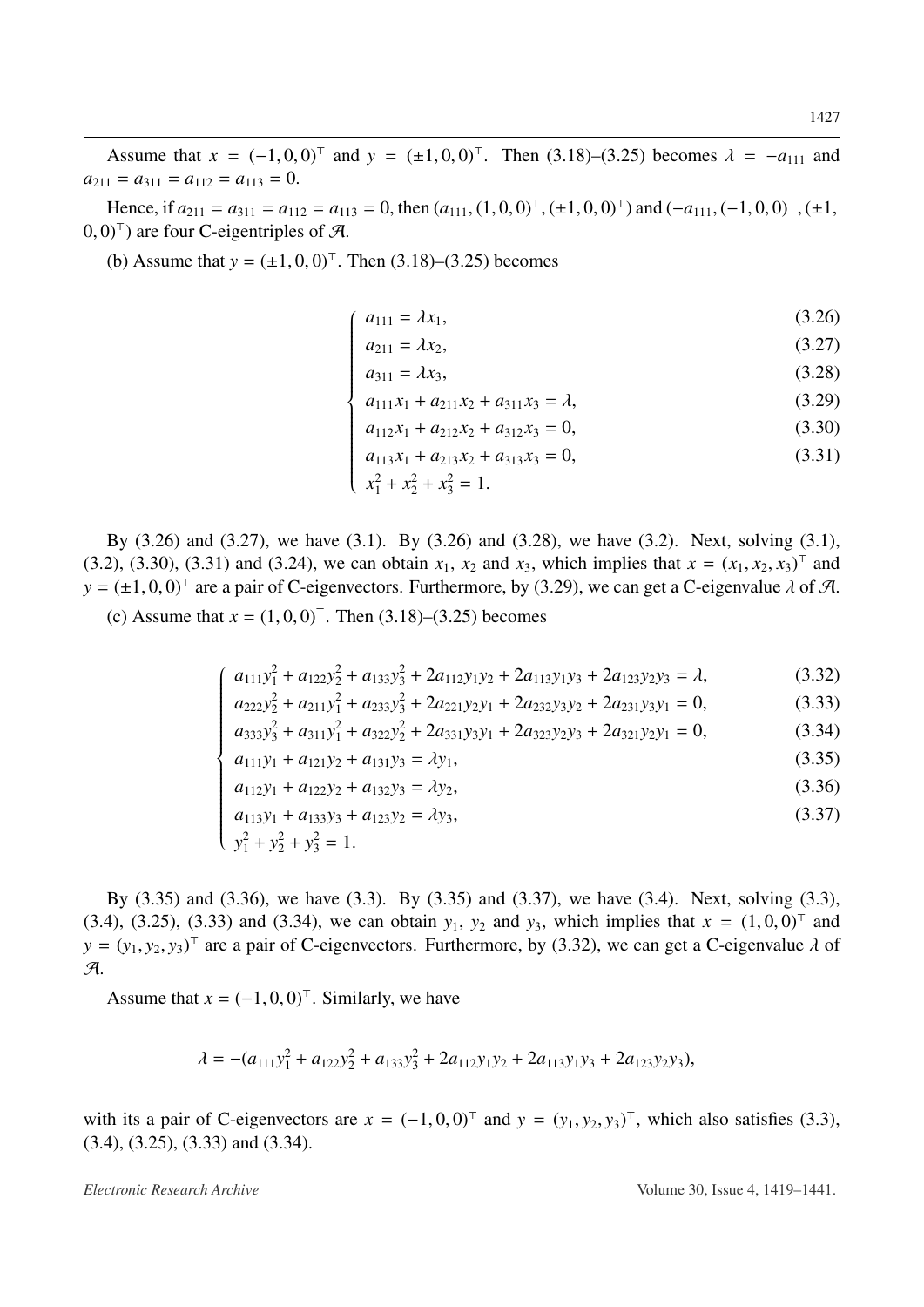Assume that  $x = (-1, 0, 0)^{\top}$  and  $y = (\pm 1, 0, 0)^{\top}$ . Then [\(3.18\)](#page-7-0)–[\(3.25\)](#page-7-0) becomes  $\lambda = -a_{111}$  and  $y = a_{112} = a_{113} = 0$  $a_{211} = a_{311} = a_{112} = a_{113} = 0.$ 

Hence, if  $a_{211} = a_{311} = a_{112} = a_{113} = 0$ , then  $(a_{111}, (1, 0, 0)^T, (\pm 1, 0, 0)^T)$  and  $(-a_{111}, (-1, 0, 0)^T, (\pm 1, 0, 0)^T)$  $(0, 0)^{\top}$  are four C-eigentriples of A.

(b) Assume that  $y = (\pm 1, 0, 0)^{\top}$ . Then [\(3.18\)](#page-7-0)–[\(3.25\)](#page-7-0) becomes

$$
\begin{cases}\n a_{111} = \lambda x_1, \\
 0.27\n \end{cases}
$$
\n(3.26)

$$
a_{211} = \lambda x_2,\tag{3.27}
$$

$$
a_{311} = \lambda x_3,\tag{3.28}
$$

$$
a_{211} = \lambda x_2,
$$
\n
$$
a_{311} = \lambda x_3,
$$
\n
$$
a_{111}x_1 + a_{211}x_2 + a_{311}x_3 = \lambda,
$$
\n(3.29)\n(3.29)

$$
a_{112}x_1 + a_{212}x_2 + a_{312}x_3 = 0,
$$
\n(3.30)

$$
a_{112}x_1 + a_{212}x_2 + a_{312}x_3 = 0,
$$
  
\n
$$
a_{113}x_1 + a_{213}x_2 + a_{313}x_3 = 0,
$$
  
\n
$$
x_1^2 + x_2^2 + x_3^2 = 1.
$$
  
\n(3.31)

By [\(3.26\)](#page-7-0) and [\(3.27\)](#page-7-0), we have [\(3.1\)](#page-5-0). By [\(3.26\)](#page-7-0) and [\(3.28\)](#page-7-0), we have [\(3.2\)](#page-5-0). Next, solving [\(3.1\)](#page-5-0), [\(3.2\)](#page-5-0), [\(3.30\)](#page-7-0), [\(3.31\)](#page-7-0) and [\(3.24\)](#page-7-0), we can obtain  $x_1$ ,  $x_2$  and  $x_3$ , which implies that  $x = (x_1, x_2, x_3)^\top$  and  $y = (1, 0, 0)^\top$  are a pair of C eigenvectors. Eurthermore, by (3.29), we can get a C eigenvalue d of  $\mathcal{$  $y = (\pm 1, 0, 0)^{\top}$  are a pair of C-eigenvectors. Furthermore, by [\(3.29\)](#page-7-0), we can get a C-eigenvalue  $\lambda$  of A.

(c) Assume that  $x = (1, 0, 0)^{\top}$ . Then [\(3.18\)](#page-7-0)–[\(3.25\)](#page-7-0) becomes

$$
\begin{cases} a_{111}y_1^2 + a_{122}y_2^2 + a_{133}y_3^2 + 2a_{112}y_1y_2 + 2a_{113}y_1y_3 + 2a_{123}y_2y_3 = \lambda, \end{cases} (3.32)
$$

$$
a_{222}y_2^2 + a_{211}y_1^2 + a_{233}y_3^2 + 2a_{221}y_2y_1 + 2a_{232}y_3y_2 + 2a_{231}y_3y_1 = 0,
$$
\n(3.33)

$$
\begin{cases}\na_{111}y_1 + a_{122}y_2 + a_{133}y_3 + 2a_{112}y_1y_2 + 2a_{113}y_1y_3 + 2a_{123}y_2y_3 - x, & (3.32) \\
a_{222}y_2^2 + a_{211}y_1^2 + a_{233}y_3^2 + 2a_{221}y_2y_1 + 2a_{232}y_3y_2 + 2a_{231}y_3y_1 = 0, & (3.33) \\
a_{333}y_3^2 + a_{311}y_1^2 + a_{322}y_2^2 + 2a_{331}y_3y_1 + 2a_{323}y_2y_3 + 2a_{321}y_2y_1 = 0, & (3.34) \\
a_{111}y_1 + a_{121}y_2 + a_{131}y_3 = \lambda y_1,\n\end{cases}
$$

$$
a_{111}y_1 + a_{121}y_2 + a_{131}y_3 = \lambda y_1, \tag{3.35}
$$

$$
a_{112}y_1 + a_{122}y_2 + a_{132}y_3 = \lambda y_2,
$$
  
\n
$$
a_{113}y_1 + a_{133}y_3 + a_{123}y_2 = \lambda y_3,
$$
  
\n
$$
y_1^2 + y_2^2 + y_3^2 = 1.
$$
  
\n(3.36)

$$
a_{113}y_1 + a_{133}y_3 + a_{123}y_2 = \lambda y_3,
$$
\n
$$
y_1^2 + y_1^2 + y_2^2 = 1
$$
\n(3.37)

$$
y_1^2 + y_2^2 + y_3^2 = 1.
$$

By [\(3.35\)](#page-7-0) and [\(3.36\)](#page-7-0), we have [\(3.3\)](#page-5-0). By [\(3.35\)](#page-7-0) and [\(3.37\)](#page-7-0), we have [\(3.4\)](#page-5-0). Next, solving [\(3.3\)](#page-5-0), [\(3.4\)](#page-5-0), [\(3.25\)](#page-7-0), [\(3.33\)](#page-7-0) and [\(3.34\)](#page-7-0), we can obtain  $y_1$ ,  $y_2$  and  $y_3$ , which implies that  $x = (1, 0, 0)^T$  and  $y = (y_1, y_2, y_3)^T$  are a pair of C-eigenvectors. Furthermore, by (3.32), we can get a C-eigenvalue dot  $y = (y_1, y_2, y_3)^T$  are a pair of C-eigenvectors. Furthermore, by [\(3.32\)](#page-7-0), we can get a C-eigenvalue  $\lambda$  of  $\mathcal{A}$ A.

Assume that  $x = (-1, 0, 0)^{\top}$ . Similarly, we have

*y*

$$
\lambda = -(a_{111}y_1^2 + a_{122}y_2^2 + a_{133}y_3^2 + 2a_{112}y_1y_2 + 2a_{113}y_1y_3 + 2a_{123}y_2y_3),
$$

with its a pair of C-eigenvectors are  $x = (-1, 0, 0)^T$  and  $y = (y_1, y_2, y_3)^T$ , which also satisfies [\(3.3\)](#page-5-0), (3.4), (3.25), (3.33), and (3.34) [\(3.4\)](#page-5-0), [\(3.25\)](#page-7-0), [\(3.33\)](#page-7-0) and [\(3.34\)](#page-7-0).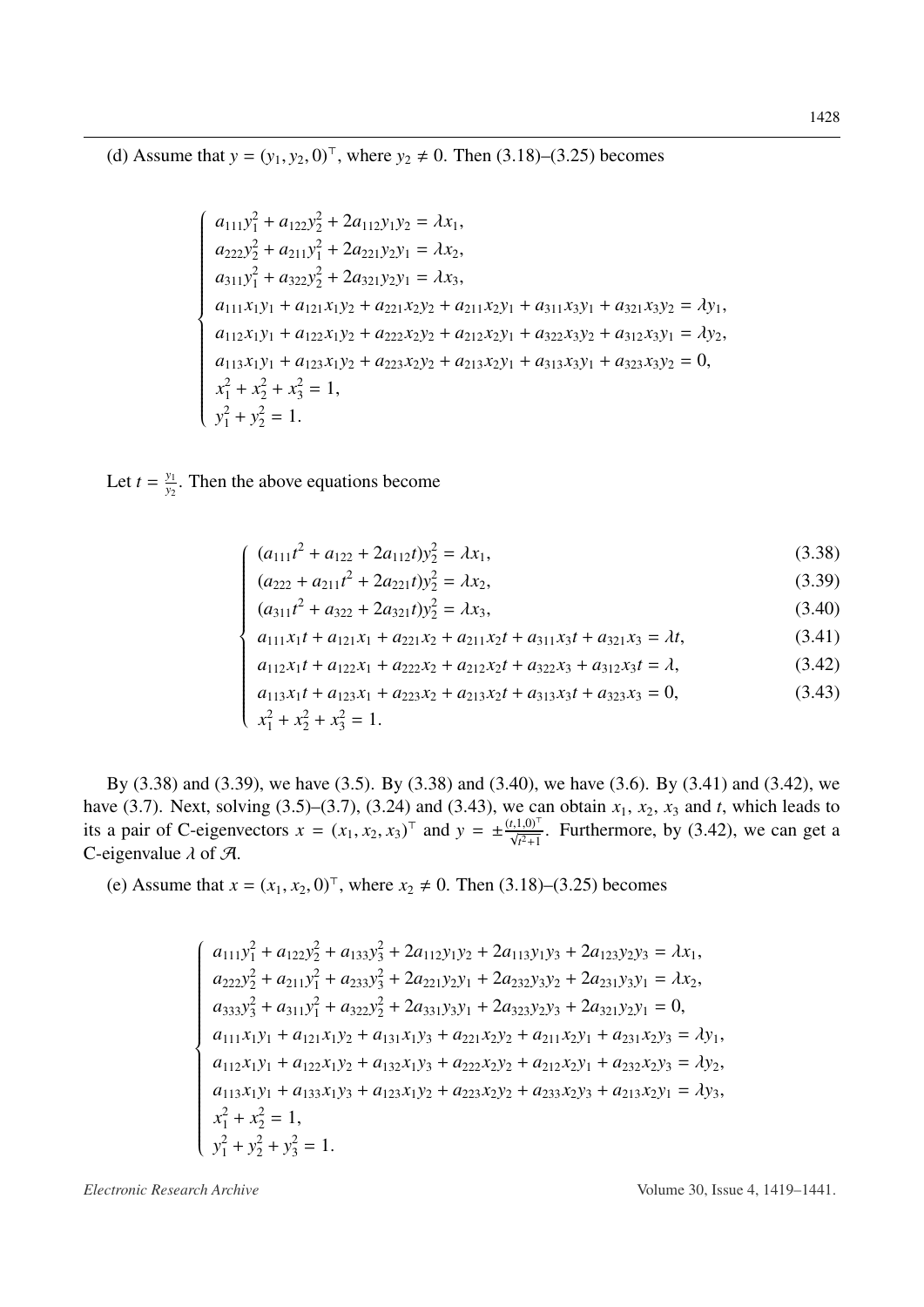(d) Assume that  $y = (y_1, y_2, 0)^T$ , where  $y_2 \neq 0$ . Then (3.18)–(3.25) becomes

$$
a_{111}y_1^2 + a_{122}y_2^2 + 2a_{112}y_1y_2 = \lambda x_1,
$$
  
\n
$$
a_{222}y_2^2 + a_{211}y_1^2 + 2a_{221}y_2y_1 = \lambda x_2,
$$
  
\n
$$
a_{311}y_1^2 + a_{322}y_2^2 + 2a_{321}y_2y_1 = \lambda x_3,
$$
  
\n
$$
a_{111}x_1y_1 + a_{121}x_1y_2 + a_{221}x_2y_2 + a_{211}x_2y_1 + a_{311}x_3y_1 + a_{321}x_3y_2 = \lambda y_1,
$$
  
\n
$$
a_{112}x_1y_1 + a_{122}x_1y_2 + a_{222}x_2y_2 + a_{212}x_2y_1 + a_{322}x_3y_2 + a_{312}x_3y_1 = \lambda y_2,
$$
  
\n
$$
a_{113}x_1y_1 + a_{123}x_1y_2 + a_{223}x_2y_2 + a_{213}x_2y_1 + a_{313}x_3y_1 + a_{323}x_3y_2 = 0,
$$
  
\n
$$
x_1^2 + x_2^2 + x_3^2 = 1,
$$
  
\n
$$
y_1^2 + y_2^2 = 1.
$$

Let  $t = \frac{y_1}{y_2}$ . Then the above equations become

$$
(a_{111}t^2 + a_{122} + 2a_{112}t)y_2^2 = \lambda x_1,\tag{3.38}
$$

$$
(a_{222} + a_{211}t^2 + 2a_{221}t)y_2^2 = \lambda x_2, \tag{3.39}
$$

$$
(a_{311}t^2 + a_{322} + 2a_{321}t)y_2^2 = \lambda x_3,\tag{3.40}
$$

$$
a_{111}x_1t + a_{121}x_1 + a_{221}x_2 + a_{211}x_2t + a_{311}x_3t + a_{321}x_3 = \lambda t,\tag{3.41}
$$

$$
a_{112}x_1t + a_{122}x_1 + a_{222}x_2 + a_{212}x_2t + a_{322}x_3 + a_{312}x_3t = \lambda, \tag{3.42}
$$

$$
(4.11) \quad (4.22) \quad (4.11) \quad (4.22) \quad (4.22) \quad (4.22) \quad (4.22) \quad (4.22) \quad (4.22) \quad (4.22) \quad (4.22) \quad (4.22) \quad (4.22) \quad (4.22) \quad (4.22) \quad (4.22) \quad (4.22) \quad (4.22) \quad (4.22) \quad (4.22) \quad (4.22) \quad (4.22) \quad (4.22) \quad (4.22) \quad (4.22) \quad (4.22) \quad (4.22) \quad (4.22) \quad (4.22) \quad (4.22) \quad (4.22) \quad (4.22) \quad (4.22) \quad (4.22) \quad (4.22) \quad (4.22) \quad (4.22) \quad (4.22) \quad (4.22) \quad (4.22) \quad (4.22) \quad (4.22) \quad (4.22) \quad (4.22) \quad (4.22) \quad (4.22) \quad (4.22) \quad (4.22) \quad (4.22) \quad (4.22) \quad (4.22) \quad (4.22) \quad (4.22) \quad (4.22) \quad (4.22) \quad (4.22) \quad (4.22) \quad (4.22) \quad (4.22) \quad (4.22) \quad (4.22) \quad (4.22) \quad (4.22) \quad (4.22) \quad (4.22) \quad (4.22) \quad (4.22) \quad (4.22) \quad (4.22) \quad (4.22) \quad (4.22) \quad (4.22) \quad (4.22) \quad (4.22) \quad (4.22) \quad (4.22) \quad (4.22) \quad (4.22) \quad (4.22) \quad (4.22) \quad (4.22) \quad (4.22) \quad (4.22) \quad (4.22) \quad (4.22) \quad (4.22) \quad (4.22) \quad (4.22) \quad (4.22) \quad (4.22) \quad (4.22) \quad (4.22) \quad (4.22) \quad (4.22) \quad (4.22) \quad
$$

By  $(3.38)$  and  $(3.39)$ , we have  $(3.5)$ . By  $(3.38)$  and  $(3.40)$ , we have  $(3.6)$ . By  $(3.41)$  and  $(3.42)$ , we have (3.7). Next, solving (3.5)–(3.7), (3.24) and (3.43), we can obtain  $x_1$ ,  $x_2$ ,  $x_3$  and t, which leads to its a pair of C-eigenvectors  $x = (x_1, x_2, x_3)^\top$  and  $y = \pm \frac{(t, 1, 0)^\top}{\sqrt{t^2 + 1}}$ . Furthermore, by (3.42) C-eigenvalue  $\lambda$  of  $\mathcal{A}$ .

(e) Assume that  $x = (x_1, x_2, 0)^T$ , where  $x_2 \neq 0$ . Then (3.18)–(3.25) becomes

$$
a_{111}y_1^2 + a_{122}y_2^2 + a_{133}y_3^2 + 2a_{112}y_1y_2 + 2a_{113}y_1y_3 + 2a_{123}y_2y_3 = \lambda x_1,
$$
  
\n
$$
a_{222}y_2^2 + a_{211}y_1^2 + a_{233}y_3^2 + 2a_{221}y_2y_1 + 2a_{232}y_3y_2 + 2a_{231}y_3y_1 = \lambda x_2,
$$
  
\n
$$
a_{333}y_3^2 + a_{311}y_1^2 + a_{322}y_2^2 + 2a_{331}y_3y_1 + 2a_{323}y_2y_3 + 2a_{321}y_2y_1 = 0,
$$
  
\n
$$
a_{111}x_1y_1 + a_{121}x_1y_2 + a_{131}x_1y_3 + a_{221}x_2y_2 + a_{211}x_2y_1 + a_{231}x_2y_3 = \lambda y_1,
$$
  
\n
$$
a_{112}x_1y_1 + a_{122}x_1y_2 + a_{132}x_1y_3 + a_{222}x_2y_2 + a_{212}x_2y_1 + a_{232}x_2y_3 = \lambda y_2,
$$
  
\n
$$
a_{113}x_1y_1 + a_{133}x_1y_3 + a_{123}x_1y_2 + a_{223}x_2y_2 + a_{233}x_2y_3 + a_{213}x_2y_1 = \lambda y_3,
$$
  
\n
$$
x_1^2 + x_2^2 = 1,
$$
  
\n
$$
y_1^2 + y_2^2 + y_3^2 = 1.
$$

Electronic Research Archive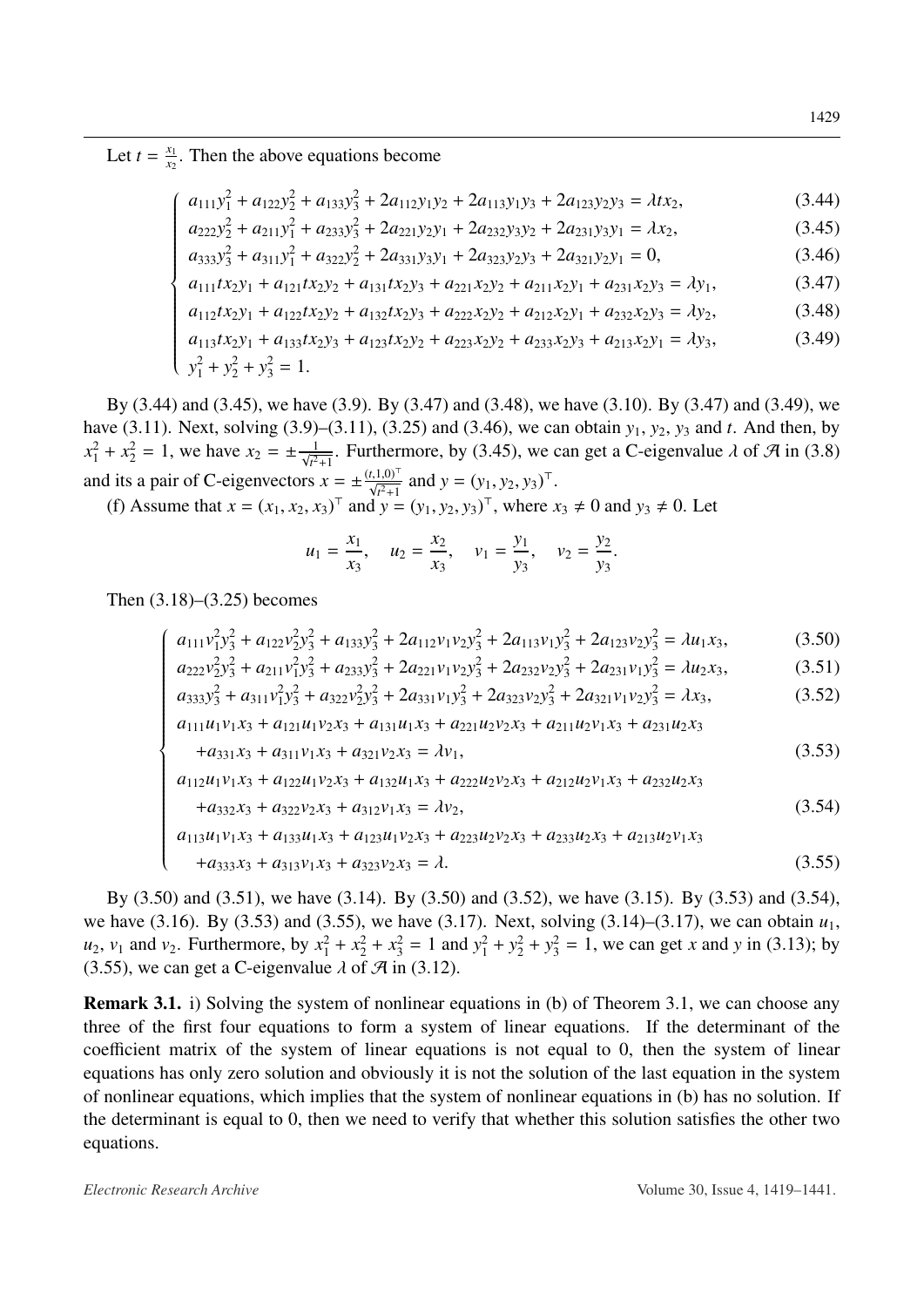Let  $t = \frac{x_1}{x_2}$ . Then the above equations become

$$
a_{111}y_1^2 + a_{122}y_2^2 + a_{133}y_3^2 + 2a_{112}y_1y_2 + 2a_{113}y_1y_3 + 2a_{123}y_2y_3 = \lambda tx_2,
$$
\n(3.44)

$$
a_{111}y_1 + a_{122}y_2 + a_{133}y_3 + 2a_{112}y_1y_2 + 2a_{113}y_1y_3 + 2a_{123}y_2y_3 + a_{223}y_3y_4 = \lambda x_2, \qquad (3.45)
$$
  
\n
$$
a_{222}y_2^2 + a_{211}y_1^2 + a_{233}y_3^2 + 2a_{221}y_2y_1 + 2a_{232}y_3y_2 + 2a_{231}y_3y_1 = \lambda x_2, \qquad (3.45)
$$
  
\n
$$
a_{333}y_3^2 + a_{311}y_1^2 + a_{322}y_2^2 + 2a_{331}y_3y_1 + 2a_{323}y_2y_3 + 2a_{321}y_2y_1 = 0, \qquad (3.46)
$$
  
\n
$$
a_{111}tx_2y_1 + a_{121}tx_2y_2 + a_{131}tx_2y_3 + a_{221}x_2y_2 + a_{211}x_2y_1 + a_{231}x_2y_3 = \lambda y_1, \qquad (3.47)
$$
  
\n
$$
a_{112}tx_2y_1 + a_{122}tx_2y_2 + a_{132}tx_2y_3 + a_{222}x_2y_2 + a_{212}x_2y_1 + a_{232}x_2y_3 = \lambda y_2, \qquad (3.48)
$$
  
\n
$$
a_{113}tx_2y_1 + a_{133}tx_2y_2 + a_{132}tx_2y_2 + a_{233}x_2y_2 + a_{233}x_2y_3 + a_{231}x_2y_1 = \lambda y_2, \qquad (3.49)
$$

$$
a_{333}y_3^2 + a_{311}y_1^2 + a_{322}y_2^2 + 2a_{331}y_3y_1 + 2a_{323}y_2y_3 + 2a_{321}y_2y_1 = 0,
$$
\n(3.46)

$$
a_{111}tx_2y_1 + a_{121}tx_2y_2 + a_{131}tx_2y_3 + a_{221}x_2y_2 + a_{211}x_2y_1 + a_{231}x_2y_3 = \lambda y_1, \tag{3.47}
$$

$$
a_{112}tx_2y_1 + a_{122}tx_2y_2 + a_{132}tx_2y_3 + a_{222}x_2y_2 + a_{212}x_2y_1 + a_{232}x_2y_3 = \lambda y_2, \tag{3.48}
$$

$$
a_{113}tx_2y_1 + a_{133}tx_2y_3 + a_{123}tx_2y_2 + a_{223}x_2y_2 + a_{233}x_2y_3 + a_{213}x_2y_1 = \lambda y_3,
$$
\n
$$
y_1^2 + y_2^2 + y_3^2 = 1.
$$
\n(3.49)

By  $(3.44)$  and  $(3.45)$ , we have  $(3.9)$ . By  $(3.47)$  and  $(3.48)$ , we have  $(3.10)$ . By  $(3.47)$  and  $(3.49)$ , we have (3.11). Next, solving (3.9)–(3.11), (3.25) and (3.46), we can obtain  $y_1$ ,  $y_2$ ,  $y_3$  and t. And then, by  $x_1^2 + x_2^2 = 1$ , we have  $x_2 = \pm \frac{1}{\sqrt{t^2+1}}$ . Furthermore, by (3.45), we can get a C-eigenvalue  $\lambda$  of  $\mathcal{A}$  in (3.8)<br>and its a pair of C-eigenvectors  $x = \pm \frac{(t,1,0)^T}{\sqrt{t^2+1}}$  and  $y = (y_1, y_2, y_3)^T$ .<br>(f) Assume

$$
u_1 = \frac{x_1}{x_3}
$$
,  $u_2 = \frac{x_2}{x_3}$ ,  $v_1 = \frac{y_1}{y_3}$ ,  $v_2 = \frac{y_2}{y_3}$ .

Then  $(3.18)$ – $(3.25)$  becomes

$$
(3.18) - (3.25) \text{ becomes}
$$
\n
$$
\begin{cases}\na_{111}v_1^2y_3^2 + a_{122}v_2^2y_3^2 + a_{133}y_3^2 + 2a_{112}v_1v_2y_3^2 + 2a_{113}v_1y_3^2 + 2a_{123}v_2y_3^2 = \lambda u_1x_3, & (3.50) \\
a_{222}v_2^2y_3^2 + a_{211}v_1^2y_3^2 + a_{233}v_3^2 + 2a_{221}v_1v_2y_3^2 + 2a_{232}v_2y_3^2 + 2a_{231}v_1y_3^2 = \lambda u_2x_3, & (3.51) \\
a_{333}y_3^2 + a_{311}v_1^2y_3^2 + a_{322}v_2^2y_3^2 + 2a_{331}v_1y_3^2 + 2a_{323}v_2y_3^2 + 2a_{321}v_1v_2y_3^2 = \lambda x_3, & (3.52) \\
a_{111}u_1v_1x_3 + a_{121}u_1v_2x_3 + a_{131}u_1x_3 + a_{221}u_2v_2x_3 + a_{211}u_2v_1x_3 + a_{231}u_2x_3 \\
+a_{331}x_3 + a_{311}v_1x_3 + a_{321}v_2x_3 = \lambda v_1, & (3.53) \\
a_{112}u_1v_1x_3 + a_{122}u_1v_2x_3 + a_{132}u_1x_3 + a_{222}u_2v_2x_3 + a_{212}u_2v_1x_3 + a_{232}u_2x_3 \\
+a_{332}x_3 + a_{322}v_2x_3 + a_{312}v_1x_3 = \lambda v_2, & (3.54) \\
a_{113}u_1v_1x_3 + a_{133}u_1x_3 + a_{123}u_1v_2x_3 + a_{223}u_2v_2x_3 + a_{233}u_2x_3 + a_{213}u_2v_1x_3 \\
+a_{333}x_3 + a
$$

$$
a_{222}v_2^2y_3^2 + a_{211}v_1^2y_3^2 + a_{233}y_3^2 + 2a_{221}v_1v_2y_3^2 + 2a_{232}v_2y_3^2 + 2a_{231}v_1y_3^2 = \lambda u_2x_3, \tag{3.51}
$$

$$
a_{333}y_3^2 + a_{311}y_1^2y_3^2 + a_{322}y_2^2y_3^2 + 2a_{331}y_1y_3^2 + 2a_{323}y_2y_3^2 + 2a_{321}y_1y_2y_3^2 = \lambda x_3,\tag{3.52}
$$

$$
u_{111}u_1v_1x_3 + a_{121}u_1v_2x_3 + a_{131}u_1x_3 + a_{221}u_2v_2x_3 + a_{211}u_2v_1x_3 + a_{231}u_2x_3
$$

$$
+a_{331}x_3 + a_{311}v_1x_3 + a_{321}v_2x_3 = \lambda v_1, \tag{3.53}
$$

$$
u_{12}u_1v_1x_3 + a_{122}u_1v_2x_3 + a_{132}u_1x_3 + a_{222}u_2v_2x_3 + a_{212}u_2v_1x_3 + a_{232}u_2x_3
$$

$$
+a_{332}x_3 + a_{322}v_2x_3 + a_{312}v_1x_3 = \lambda v_2, \tag{3.54}
$$

$$
+a_{333}x_3 + a_{313}v_1x_3 + a_{323}v_2x_3 = \lambda.
$$
\n(3.55)

By  $(3.50)$  and  $(3.51)$ , we have  $(3.14)$ . By  $(3.50)$  and  $(3.52)$ , we have  $(3.15)$ . By  $(3.53)$  and  $(3.54)$ , we have (3.16). By (3.53) and (3.55), we have (3.17). Next, solving (3.14)–(3.17), we can obtain  $u_1$ ,  $u_2$ ,  $v_1$  and  $v_2$ . Furthermore, by  $x_1^2 + x_2^2 + x_3^2 = 1$  and  $y_1^2 + y_2^2 + y_3^2 = 1$ , we can get x and y in (3.1 (3.55), we can get a C-eigenvalue  $\lambda$  of  $\mathcal{A}$  in (3.12).

**Remark 3.1.** i) Solving the system of nonlinear equations in (b) of Theorem 3.1, we can choose any three of the first four equations to form a system of linear equations. If the determinant of the coefficient matrix of the system of linear equations is not equal to 0, then the system of linear equations has only zero solution and obviously it is not the solution of the last equation in the system of nonlinear equations, which implies that the system of nonlinear equations in (b) has no solution. If the determinant is equal to 0, then we need to verify that whether this solution satisfies the other two equations.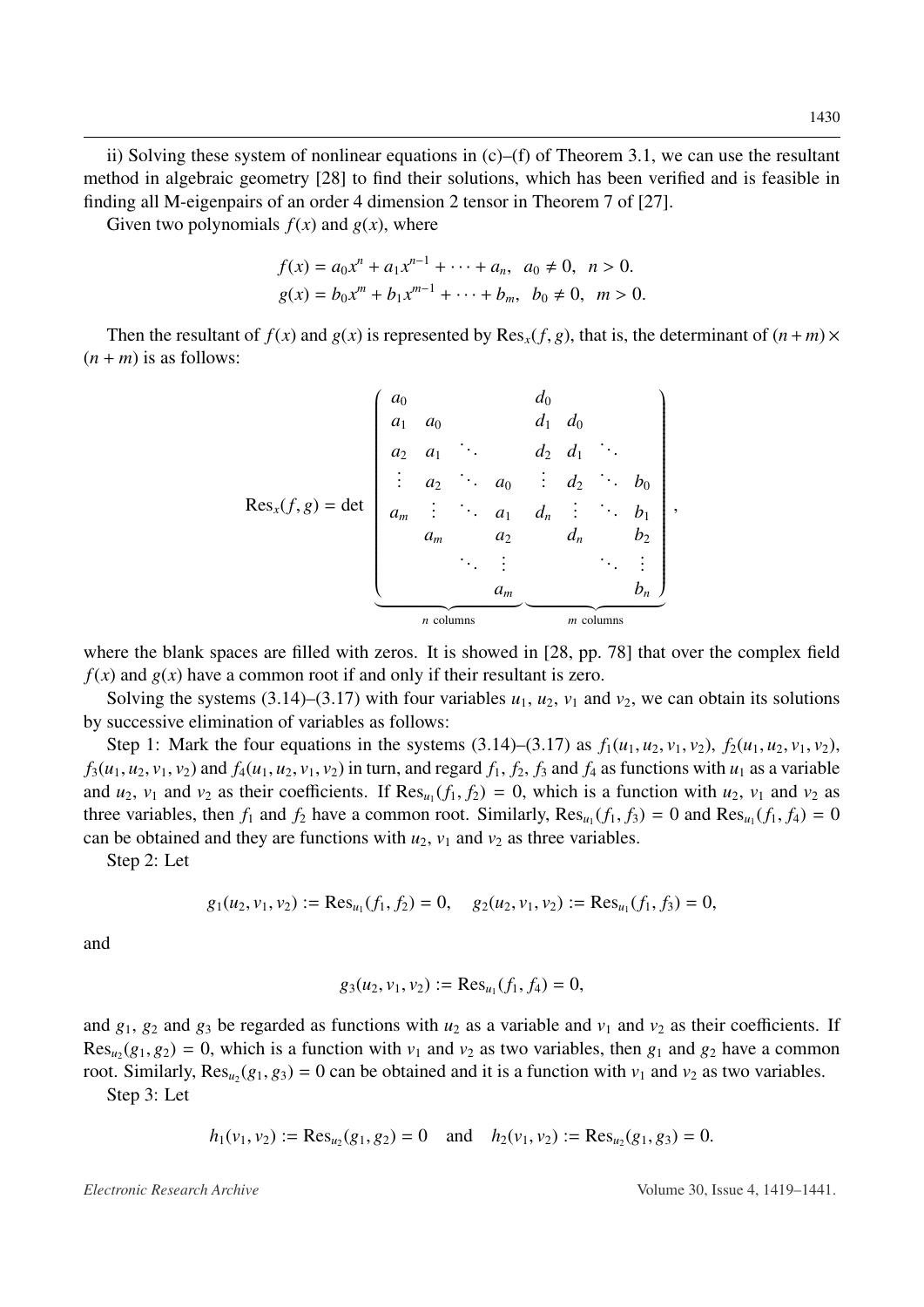ii) Solving these system of nonlinear equations in  $(c)$ – $(f)$  of Theorem [3.1,](#page-5-0) we can use the resultant method in algebraic geometry [\[28\]](#page-18-1) to find their solutions, which has been verified and is feasible in finding all M-eigenpairs of an order 4 dimension 2 tensor in Theorem 7 of [\[27\]](#page-18-0).

Given two polynomials  $f(x)$  and  $g(x)$ , where

$$
f(x) = a_0 x^n + a_1 x^{n-1} + \dots + a_n, \ a_0 \neq 0, \ n > 0.
$$
  

$$
g(x) = b_0 x^m + b_1 x^{m-1} + \dots + b_m, \ b_0 \neq 0, \ m > 0.
$$

Then the resultant of  $f(x)$  and  $g(x)$  is represented by Res<sub>x</sub>(*f*, *g*), that is, the determinant of  $(n+m) \times$  $(n + m)$  is as follows:

$$
\text{Res}_x(f,g) = \det \begin{pmatrix} a_0 & d_0 & d_0 \\ a_1 & a_0 & d_1 & d_0 \\ a_2 & a_1 & \ddots & d_2 & d_1 & \ddots \\ \vdots & a_2 & \ddots & a_0 & \vdots & d_2 & \ddots & b_0 \\ a_m & \vdots & \ddots & a_1 & d_n & \vdots & \ddots & b_1 \\ a_m & a_2 & d_n & b_2 & \ddots & \vdots \\ \vdots & \vdots & \ddots & \vdots & \ddots & \vdots \\ a_m & a_m & a_m & \ddots & \vdots \\ \hline \end{pmatrix},
$$
\n
$$
n \text{ columns}
$$

where the blank spaces are filled with zeros. It is showed in [\[28,](#page-18-1) pp. 78] that over the complex field  $f(x)$  and  $g(x)$  have a common root if and only if their resultant is zero.

Solving the systems [\(3.14\)](#page-7-0)–[\(3.17\)](#page-7-0) with four variables  $u_1$ ,  $u_2$ ,  $v_1$  and  $v_2$ , we can obtain its solutions by successive elimination of variables as follows:

Step 1: Mark the four equations in the systems  $(3.14)$ – $(3.17)$  as  $f_1(u_1, u_2, v_1, v_2)$ ,  $f_2(u_1, u_2, v_1, v_2)$ ,  $f_3(u_1, u_2, v_1, v_2)$  and  $f_4(u_1, u_2, v_1, v_2)$  in turn, and regard  $f_1, f_2, f_3$  and  $f_4$  as functions with  $u_1$  as a variable and  $u_2$ ,  $v_1$  and  $v_2$  as their coefficients. If  $\text{Res}_{u_1}(f_1, f_2) = 0$ , which is a function with  $u_2$ ,  $v_1$  and  $v_2$  as three variables then  $f_1$  and  $f_2$  have a common root. Similarly  $\text{Res}_{u_1}(f_1, f_2) = 0$  and three variables, then  $f_1$  and  $f_2$  have a common root. Similarly,  $\text{Res}_{u_1}(f_1, f_3) = 0$  and  $\text{Res}_{u_1}(f_1, f_4) = 0$ <br>can be obtained and they are functions with  $u_1, y_2$  and  $y_1$  as three variables can be obtained and they are functions with  $u_2$ ,  $v_1$  and  $v_2$  as three variables.

Step 2: Let

$$
g_1(u_2, v_1, v_2) := \text{Res}_{u_1}(f_1, f_2) = 0, \quad g_2(u_2, v_1, v_2) := \text{Res}_{u_1}(f_1, f_3) = 0,
$$

and

$$
g_3(u_2, v_1, v_2) := \text{Res}_{u_1}(f_1, f_4) = 0,
$$

and  $g_1$ ,  $g_2$  and  $g_3$  be regarded as functions with  $u_2$  as a variable and  $v_1$  and  $v_2$  as their coefficients. If  $\text{Res}_{u_2}(g_1, g_2) = 0$ , which is a function with  $v_1$  and  $v_2$  as two variables, then  $g_1$  and  $g_2$  have a common root. Similarly, Res.  $(g_1, g_2) = 0$  can be obtained and it is a function with *y*, and *y*, as two vari root. Similarly,  $\text{Res}_{u_2}(g_1, g_3) = 0$  can be obtained and it is a function with  $v_1$  and  $v_2$  as two variables.<br>Step <sup>3</sup>: Let

Step 3: Let

$$
h_1(v_1, v_2) := \text{Res}_{u_2}(g_1, g_2) = 0
$$
 and  $h_2(v_1, v_2) := \text{Res}_{u_2}(g_1, g_3) = 0.$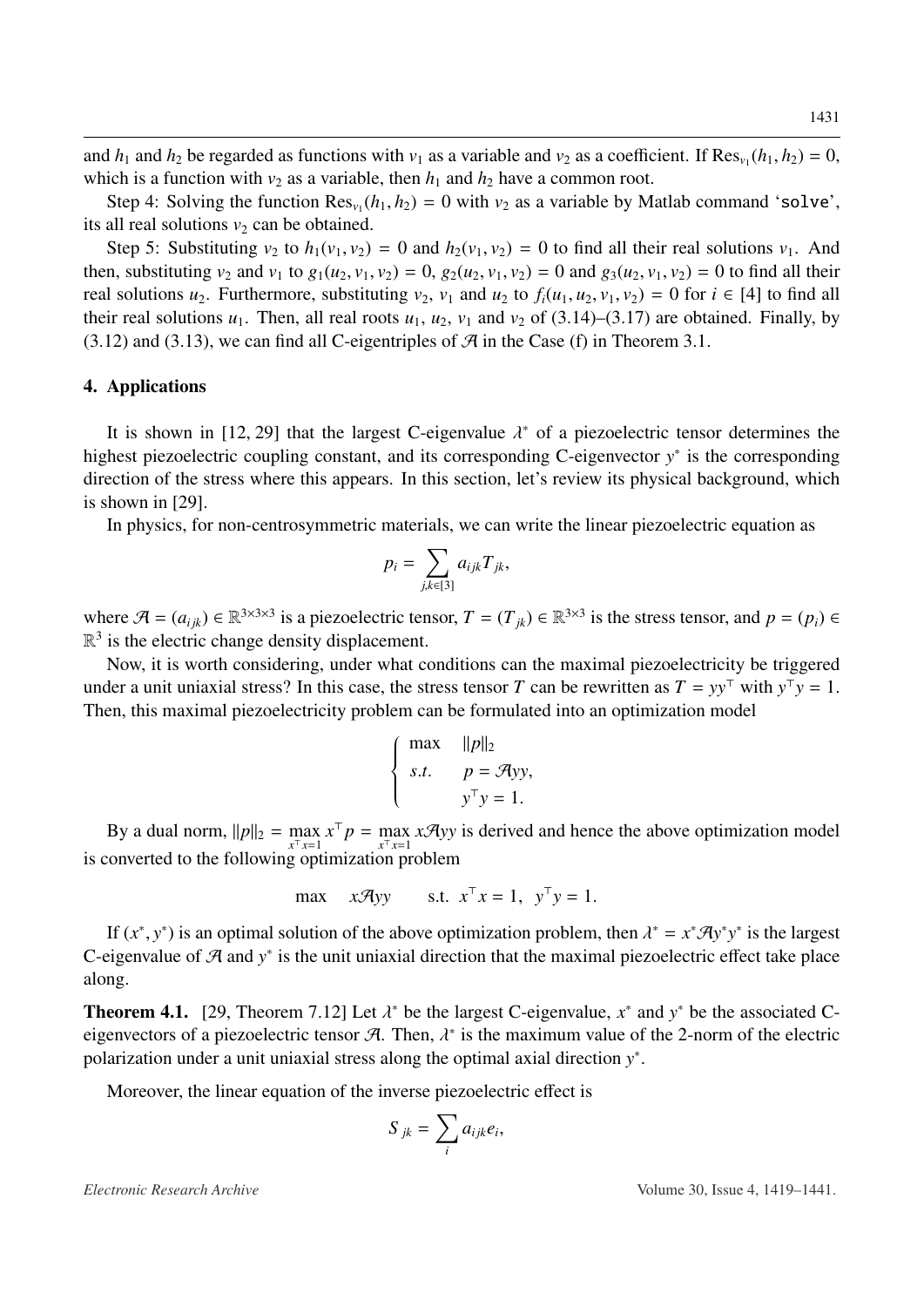and  $h_1$  and  $h_2$  be regarded as functions with  $v_1$  as a variable and  $v_2$  as a coefficient. If  $\text{Res}_{v_1}(h_1, h_2) = 0$ , which is a function with  $v_2$  as a variable, then  $h_1$  and  $h_2$  have a common root.

Step 4: Solving the function  $\text{Res}_{v_1}(h_1, h_2) = 0$  with  $v_2$  as a variable by Matlab command 'solve', sall real solutions  $v_1$  can be obtained its all real solutions  $v_2$  can be obtained.

Step 5: Substituting  $v_2$  to  $h_1(v_1, v_2) = 0$  and  $h_2(v_1, v_2) = 0$  to find all their real solutions  $v_1$ . And then, substituting  $v_2$  and  $v_1$  to  $g_1(u_2, v_1, v_2) = 0$ ,  $g_2(u_2, v_1, v_2) = 0$  and  $g_3(u_2, v_1, v_2) = 0$  to find all their real solutions  $u_2$ . Furthermore, substituting  $v_2$ ,  $v_1$  and  $u_2$  to  $f_i(u_1, u_2, v_1, v_2) = 0$  for  $i \in [4]$  to find all their real solutions  $u_1$ . Then, all real roots  $u_1$ ,  $u_2$ ,  $v_1$  and  $v_2$  of [\(3.14\)](#page-7-0)–[\(3.17\)](#page-7-0) are obtained. Finally, by  $(3.12)$  and  $(3.13)$ , we can find all C-eigentriples of  $\mathcal{A}$  in the Case (f) in Theorem [3.1.](#page-5-0)

### 4. Applications

It is shown in [\[12,](#page-17-1) [29\]](#page-18-2) that the largest C-eigenvalue  $\lambda^*$  of a piezoelectric tensor determines the heat piezoelectric coupling constant, and its corresponding C eigenvector  $y^*$  is the corresponding highest piezoelectric coupling constant, and its corresponding C-eigenvector *y*<sup>∗</sup> is the corresponding direction of the stress where this appears. In this section, let's review its physical background, which is shown in [\[29\]](#page-18-2).

In physics, for non-centrosymmetric materials, we can write the linear piezoelectric equation as

$$
p_i = \sum_{j,k \in [3]} a_{ijk} T_{jk},
$$

where  $\mathcal{A} = (a_{ijk}) \in \mathbb{R}^{3 \times 3 \times 3}$  is a piezoelectric tensor,  $T = (T_{jk}) \in \mathbb{R}^{3 \times 3}$  is the stress tensor, and  $p = (p_i) \in \mathbb{R}^{3 \times 3}$  $\mathbb{R}^3$  is the electric change density displacement.

Now, it is worth considering, under what conditions can the maximal piezoelectricity be triggered under a unit uniaxial stress? In this case, the stress tensor *T* can be rewritten as  $T = yy^{\top}$  with  $y^{\top}y = 1$ . Then, this maximal piezoelectricity problem can be formulated into an optimization model

$$
\begin{cases}\n\max & ||p||_2 \\
s.t. & p = \mathcal{A}yy, \\
y^{\top}y = 1.\n\end{cases}
$$

By a dual norm,  $||p||_2 = \max_{x^T x = 1} x^T p = \max_{x^T x = 1} x \mathcal{A}$ *yy* is derived and hence the above optimization model is converted to the following optimization problem

$$
\max \quad x\mathcal{A}yy \qquad \text{s.t. } x^{\top}x = 1, \ \ y^{\top}y = 1.
$$

If  $(x^*, y^*)$  is an optimal solution of the above optimization problem, then  $\lambda^* = x^* A y^* y^*$  is the largest<br>pigenvalue of  $\mathcal{A}$  and  $y^*$  is the unit univial direction that the maximal piezoelectric effect take place C-eigenvalue of  $A$  and  $y^*$  is the unit uniaxial direction that the maximal piezoelectric effect take place along.

**Theorem 4.1.** [\[29,](#page-18-2) Theorem 7.12] Let  $\lambda^*$  be the largest C-eigenvalue,  $x^*$  and  $y^*$  be the associated C-eigenvectors of a piezoelectric tensor  $\mathcal{A}$ . Then  $\lambda^*$  is the maximum value of the 2-porm of the electric eigenvectors of a piezoelectric tensor  $\mathcal{A}$ . Then,  $\lambda^*$  is the maximum value of the 2-norm of the electric polarization under a unit uniaxial stress along the optimal axial direction  $y^*$ polarization under a unit uniaxial stress along the optimal axial direction *y* ∗ .

Moreover, the linear equation of the inverse piezoelectric effect is

$$
S_{jk} = \sum_i a_{ijk} e_i,
$$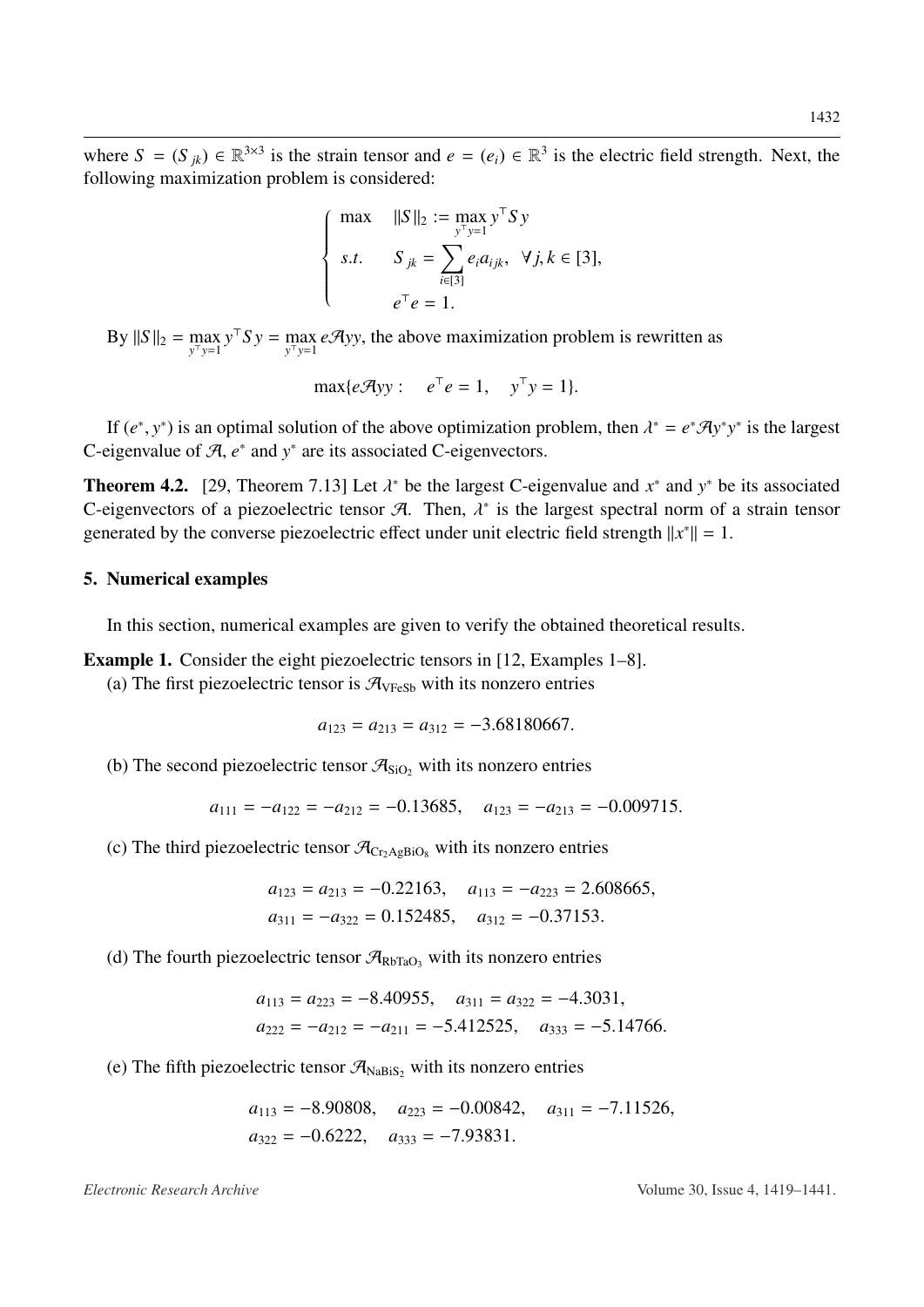where  $S = (S_{jk}) \in \mathbb{R}^{3 \times 3}$  is the strain tensor and  $e = (e_i) \in \mathbb{R}^3$  is the electric field strength. Next, the following maximization problem is considered:

$$
\begin{cases}\n\max & ||S||_2 := \max_{y^{\top}y=1} y^{\top} S y \\
s.t. & S_{jk} = \sum_{i \in [3]} e_i a_{ijk}, \ \forall j, k \in [3], \\
e^{\top} e = 1.\n\end{cases}
$$

By  $||S||_2 = \max_{y^T y = 1} y^T S y = \max_{y^T y = 1} e \mathcal{A}$ *yy*, the above maximization problem is rewritten as

$$
\max\{e\mathcal{A}yy: e^{\top}e=1, y^{\top}y=1\}.
$$

If  $(e^*, y^*)$  is an optimal solution of the above optimization problem, then  $\lambda^* = e^* A y^* y^*$  is the largest<br>pigenyalue of  $A$   $e^*$  and  $y^*$  are its associated C-eigenvectors C-eigenvalue of  $A$ ,  $e^*$  and  $y^*$  are its associated C-eigenvectors.

**Theorem 4.2.** [\[29,](#page-18-2) Theorem 7.13] Let  $\lambda^*$  be the largest C-eigenvalue and  $x^*$  and  $y^*$  be its associated C-eigenvectors of a piezoelectric tensor  $\mathcal{A}$ . Then  $\lambda^*$  is the largest spectral norm of a strain tensor C-eigenvectors of a piezoelectric tensor A. Then,  $\lambda^*$  is the largest spectral norm of a strain tensor<br>generated by the converse piezoelectric effect under unit electric field strength  $||x^*|| = 1$ generated by the converse piezoelectric effect under unit electric field strength  $||x^*|| = 1$ .

#### 5. Numerical examples

In this section, numerical examples are given to verify the obtained theoretical results.

<span id="page-13-0"></span>Example 1. Consider the eight piezoelectric tensors in [\[12,](#page-17-1) Examples 1–8].

(a) The first piezoelectric tensor is  $\mathcal{A}_{VFeSb}$  with its nonzero entries

$$
a_{123} = a_{213} = a_{312} = -3.68180667.
$$

(b) The second piezoelectric tensor  $\mathcal{A}_{\text{SiO}_2}$  with its nonzero entries

$$
a_{111} = -a_{122} = -a_{212} = -0.13685
$$
,  $a_{123} = -a_{213} = -0.009715$ .

(c) The third piezoelectric tensor  $\mathcal{A}_{Cr\text{AgBio}_8}$  with its nonzero entries

$$
a_{123} = a_{213} = -0.22163
$$
,  $a_{113} = -a_{223} = 2.608665$ ,  
\n $a_{311} = -a_{322} = 0.152485$ ,  $a_{312} = -0.37153$ .

(d) The fourth piezoelectric tensor  $\mathcal{A}_{RbTaO_3}$  with its nonzero entries

$$
a_{113} = a_{223} = -8.40955
$$
,  $a_{311} = a_{322} = -4.3031$ ,  
\n $a_{222} = -a_{212} = -a_{211} = -5.412525$ ,  $a_{333} = -5.14766$ .

(e) The fifth piezoelectric tensor  $\mathcal{A}_{\text{NaBiS}}$ , with its nonzero entries

$$
a_{113} = -8.90808
$$
,  $a_{223} = -0.00842$ ,  $a_{311} = -7.11526$ ,  
 $a_{322} = -0.6222$ ,  $a_{333} = -7.93831$ .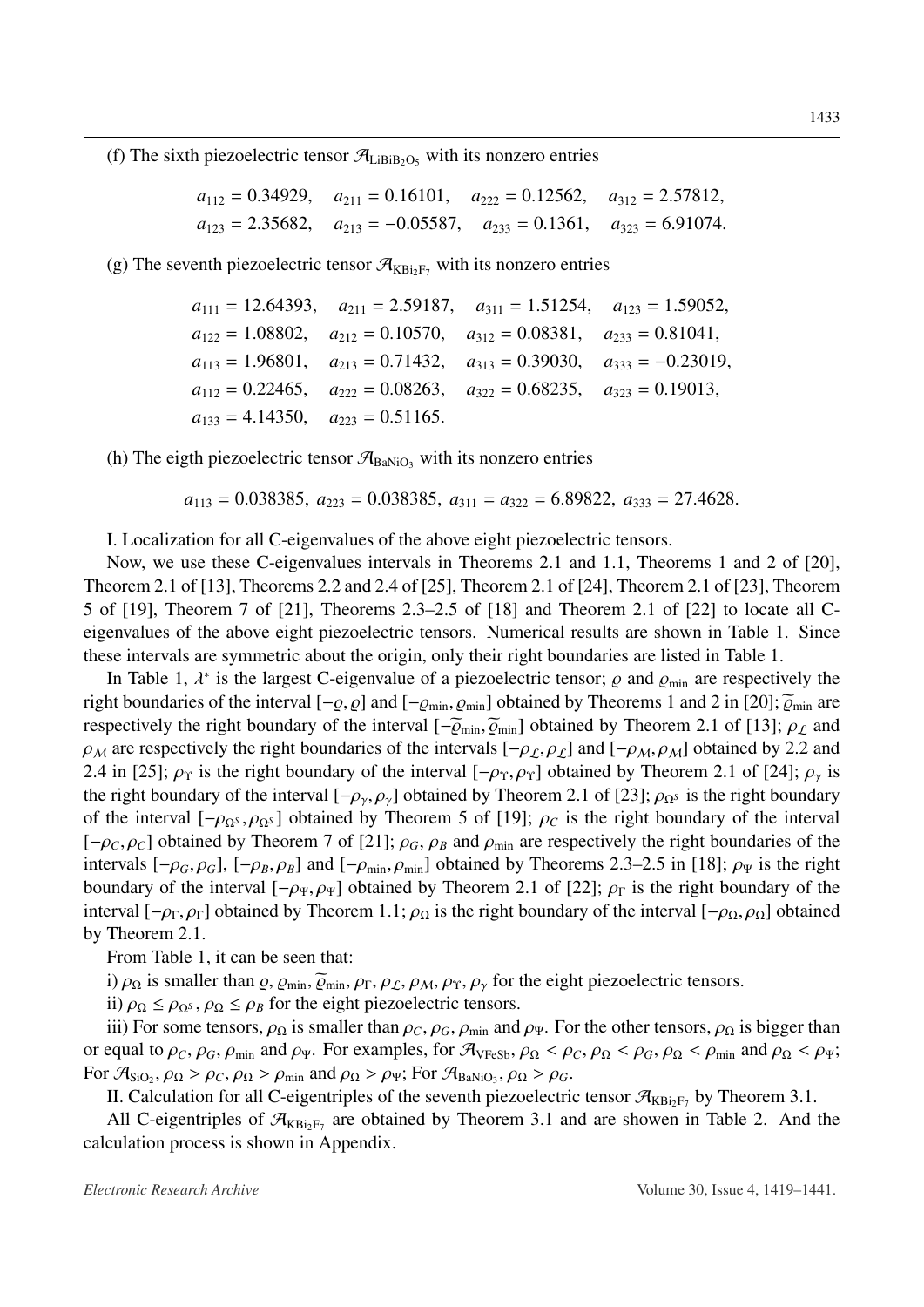(f) The sixth piezoelectric tensor  $\mathcal{A}_{\text{LiBiB}_2\text{O}_5}$  with its nonzero entries

$$
a_{112} = 0.34929
$$
,  $a_{211} = 0.16101$ ,  $a_{222} = 0.12562$ ,  $a_{312} = 2.57812$ ,  
\n $a_{123} = 2.35682$ ,  $a_{213} = -0.05587$ ,  $a_{233} = 0.1361$ ,  $a_{323} = 6.91074$ .

(g) The seventh piezoelectric tensor  $\mathcal{A}_{KBi_2F_7}$  with its nonzero entries

$$
a_{111} = 12.64393
$$
,  $a_{211} = 2.59187$ ,  $a_{311} = 1.51254$ ,  $a_{123} = 1.59052$ ,  
\n $a_{122} = 1.08802$ ,  $a_{212} = 0.10570$ ,  $a_{312} = 0.08381$ ,  $a_{233} = 0.81041$ ,  
\n $a_{113} = 1.96801$ ,  $a_{213} = 0.71432$ ,  $a_{313} = 0.39030$ ,  $a_{333} = -0.23019$ ,  
\n $a_{112} = 0.22465$ ,  $a_{222} = 0.08263$ ,  $a_{322} = 0.68235$ ,  $a_{323} = 0.19013$ ,  
\n $a_{133} = 4.14350$ ,  $a_{223} = 0.51165$ .

(h) The eigth piezoelectric tensor  $\mathcal{A}_{\text{BaNiO}_3}$  with its nonzero entries

 $a_{113} = 0.038385, a_{223} = 0.038385, a_{311} = a_{322} = 6.89822, a_{333} = 27.4628.$ 

I. Localization for all C-eigenvalues of the above eight piezoelectric tensors.

Now, we use these C-eigenvalues intervals in Theorems [2.1](#page-2-1) and [1.1,](#page-1-1) Theorems 1 and 2 of [\[20\]](#page-17-12), Theorem 2.1 of [\[13\]](#page-17-2), Theorems 2.2 and 2.4 of [\[25\]](#page-17-10), Theorem 2.1 of [\[24\]](#page-17-9), Theorem 2.1 of [\[23\]](#page-17-13), Theorem 5 of [\[19\]](#page-17-8), Theorem 7 of [\[21\]](#page-17-14), Theorems 2.3–2.5 of [\[18\]](#page-17-7) and Theorem 2.1 of [\[22\]](#page-17-15) to locate all Ceigenvalues of the above eight piezoelectric tensors. Numerical results are shown in Table [1.](#page-15-0) Since these intervals are symmetric about the origin, only their right boundaries are listed in Table [1.](#page-15-0)

In Table [1,](#page-15-0)  $\lambda^*$  is the largest C-eigenvalue of a piezoelectric tensor;  $\rho$  and  $\rho_{min}$  are respectively the right boundaries of the interval  $[-\varrho, \varrho]$  and  $[-\varrho_{\min}, \varrho_{\min}]$  obtained by Theorems 1 and 2 in [\[20\]](#page-17-12);  $\widetilde{\varrho}_{\min}$  are respectively the right boundary of the interval  $[-\widetilde{\varrho}_{min},\widetilde{\varrho}_{min}]$  obtained by Theorem 2.1 of [\[13\]](#page-17-2);  $\rho_{\mathcal{L}}$  and  $\rho_M$  are respectively the right boundaries of the intervals  $[-\rho_L, \rho_L]$  and  $[-\rho_M, \rho_M]$  obtained by 2.2 and 2.4 in [\[25\]](#page-17-10);  $\rho_{\Upsilon}$  is the right boundary of the interval  $[-\rho_{\Upsilon}, \rho_{\Upsilon}]$  obtained by Theorem 2.1 of [\[24\]](#page-17-9);  $\rho_{\Upsilon}$  is the right boundary of the interval  $[-\rho_{\gamma}, \rho_{\gamma}]$  obtained by Theorem 2.1 of [\[23\]](#page-17-13);  $\rho_{\Omega^S}$  is the right boundary of the interval  $[-\rho_{\Omega^S}, \rho_{\Omega^S}]$  obtained by Theorem 5 of [\[19\]](#page-17-8);  $\rho_C$  is the right boundary of the interval  $[-\rho_C, \rho_C]$  obtained by Theorem 7 of [\[21\]](#page-17-14);  $\rho_G$ ,  $\rho_B$  and  $\rho_{min}$  are respectively the right boundaries of the intervals  $[-\rho_G, \rho_G]$ ,  $[-\rho_B, \rho_B]$  and  $[-\rho_{\min}, \rho_{\min}]$  obtained by Theorems 2.3–2.5 in [\[18\]](#page-17-7);  $\rho_{\Psi}$  is the right boundary of the interval  $[-\rho_{\Psi}, \rho_{\Psi}]$  obtained by Theorem 2.1 of [\[22\]](#page-17-15);  $\rho_{\Gamma}$  is the right boundary of the interval  $[-\rho_{\Gamma}, \rho_{\Gamma}]$  obtained by Theorem [1.1;](#page-1-1)  $\rho_{\Omega}$  is the right boundary of the interval  $[-\rho_{\Omega}, \rho_{\Omega}]$  obtained by Theorem [2.1.](#page-2-1)

From Table [1,](#page-15-0) it can be seen that:

i)  $\rho_{\Omega}$  is smaller than  $\varrho$ ,  $\varrho_{\min}$ ,  $\widetilde{\varrho}_{\min}$ ,  $\rho_{\Gamma}$ ,  $\rho_{\mathcal{L}}$ ,  $\rho_{\mathcal{M}}$ ,  $\rho_{\Upsilon}$ ,  $\rho_{\gamma}$  for the eight piezoelectric tensors.

ii)  $\rho_{\Omega} \leq \rho_{\Omega^S}, \rho_{\Omega} \leq \rho_B$  for the eight piezoelectric tensors.

iii) For some tensors,  $\rho_{\Omega}$  is smaller than  $\rho_C$ ,  $\rho_G$ ,  $\rho_{\min}$  and  $\rho_{\Psi}$ . For the other tensors,  $\rho_{\Omega}$  is bigger than or equal to  $\rho_C$ ,  $\rho_G$ ,  $\rho_{min}$  and  $\rho_{\Psi}$ . For examples, for  $\mathcal{A}_{VFeSb}$ ,  $\rho_{\Omega} < \rho_C$ ,  $\rho_{\Omega} < \rho_G$ ,  $\rho_{\Omega} < \rho_{min}$  and  $\rho_{\Omega} < \rho_{\Psi}$ ; For  $\mathcal{A}_{\text{SiO}_2}$ ,  $\rho_{\Omega} > \rho_C$ ,  $\rho_{\Omega} > \rho_{\text{min}}$  and  $\rho_{\Omega} > \rho_{\Psi}$ ; For  $\mathcal{A}_{\text{BaNiO}_3}$ ,  $\rho_{\Omega} > \rho_G$ .<br>If Calculation for all C-eigentriples of the seventh piezoelectric

II. Calculation for all C-eigentriples of the seventh piezoelectric tensor  $\mathcal{A}_{KBi_2F_7}$  by Theorem [3.1.](#page-5-0)

All C-eigentriples of  $\mathcal{A}_{KBi_2F_7}$  are obtained by Theorem [3.1](#page-5-0) and are showen in Table [2.](#page-15-1) And the calculation process is shown in Appendix.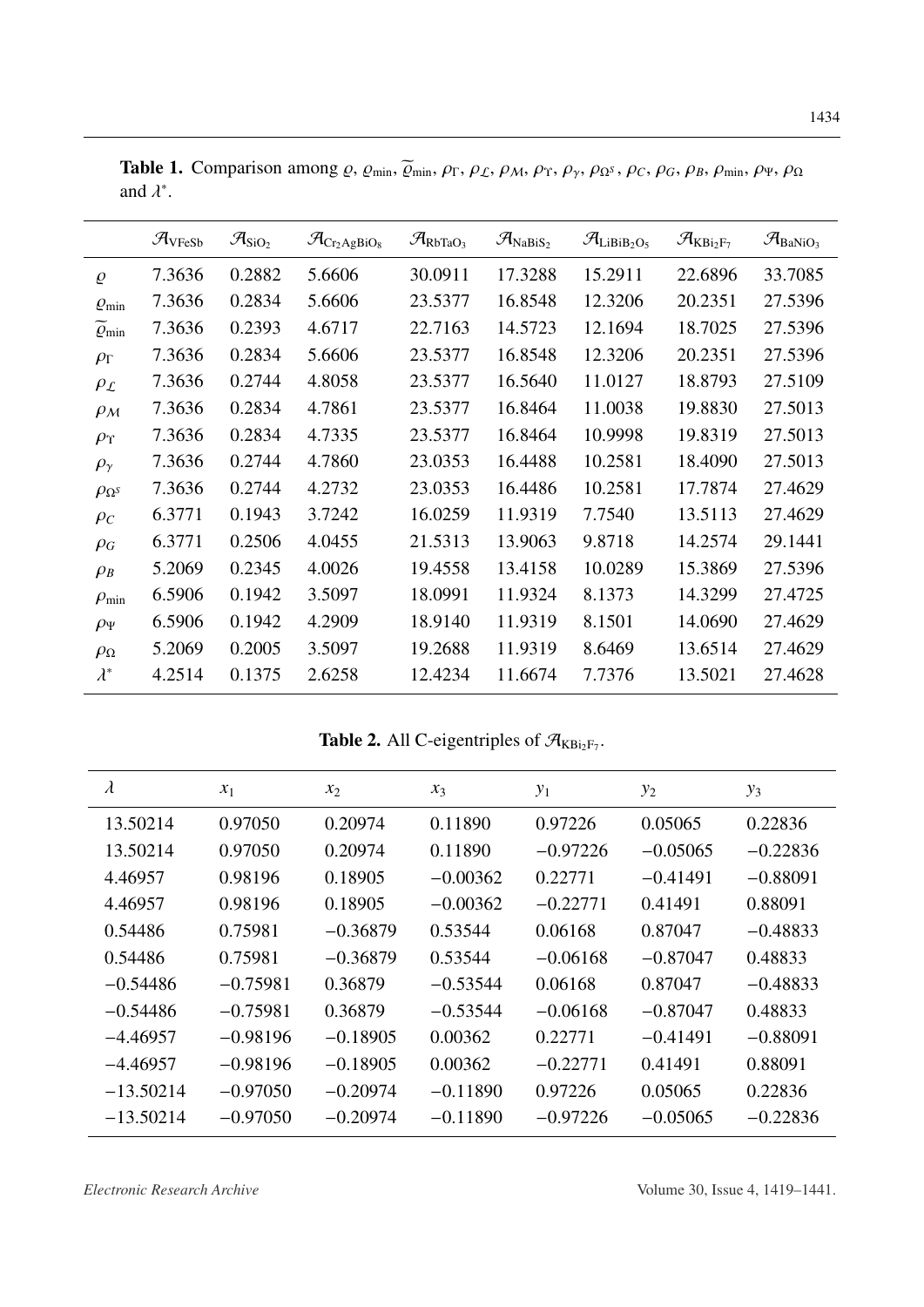|                      | $\mathcal{A}_{\text{VFeSb}}$ | $\mathcal{A}_{{\rm SiO}_2}$ | $\mathcal{A}_{\rm Cr_2AgBiO_8}$ | $\mathcal{A}_{\text{RbTaO}_3}$ | $\mathcal{A}_{\text{NaBiS}_2}$ | $\mathcal{A}_{\mathrm{LiBiB_2O_5}}$ | $\mathcal{A}_{\text{KBi}_2\text{F}_7}$ | $\mathcal{A}_{BaNiO_3}$ |
|----------------------|------------------------------|-----------------------------|---------------------------------|--------------------------------|--------------------------------|-------------------------------------|----------------------------------------|-------------------------|
| $\varrho$            | 7.3636                       | 0.2882                      | 5.6606                          | 30.0911                        | 17.3288                        | 15.2911                             | 22.6896                                | 33.7085                 |
| $Q_{\min}$           | 7.3636                       | 0.2834                      | 5.6606                          | 23.5377                        | 16.8548                        | 12.3206                             | 20.2351                                | 27.5396                 |
| $\varrho_{\rm min}$  | 7.3636                       | 0.2393                      | 4.6717                          | 22.7163                        | 14.5723                        | 12.1694                             | 18.7025                                | 27.5396                 |
| $\rho_{\Gamma}$      | 7.3636                       | 0.2834                      | 5.6606                          | 23.5377                        | 16.8548                        | 12.3206                             | 20.2351                                | 27.5396                 |
| $\rho_{\mathcal{L}}$ | 7.3636                       | 0.2744                      | 4.8058                          | 23.5377                        | 16.5640                        | 11.0127                             | 18.8793                                | 27.5109                 |
| $\rho_{\mathcal{M}}$ | 7.3636                       | 0.2834                      | 4.7861                          | 23.5377                        | 16.8464                        | 11.0038                             | 19.8830                                | 27.5013                 |
| $\rho_{\Upsilon}$    | 7.3636                       | 0.2834                      | 4.7335                          | 23.5377                        | 16.8464                        | 10.9998                             | 19.8319                                | 27.5013                 |
| $\rho_{\gamma}$      | 7.3636                       | 0.2744                      | 4.7860                          | 23.0353                        | 16.4488                        | 10.2581                             | 18.4090                                | 27.5013                 |
| $\rho_{\Omega^S}$    | 7.3636                       | 0.2744                      | 4.2732                          | 23.0353                        | 16.4486                        | 10.2581                             | 17.7874                                | 27.4629                 |
| $\rho_c$             | 6.3771                       | 0.1943                      | 3.7242                          | 16.0259                        | 11.9319                        | 7.7540                              | 13.5113                                | 27.4629                 |
| $\rho_G$             | 6.3771                       | 0.2506                      | 4.0455                          | 21.5313                        | 13.9063                        | 9.8718                              | 14.2574                                | 29.1441                 |
| $\rho_B$             | 5.2069                       | 0.2345                      | 4.0026                          | 19.4558                        | 13.4158                        | 10.0289                             | 15.3869                                | 27.5396                 |
| $\rho_{\rm min}$     | 6.5906                       | 0.1942                      | 3.5097                          | 18.0991                        | 11.9324                        | 8.1373                              | 14.3299                                | 27.4725                 |
| $\rho_{\Psi}$        | 6.5906                       | 0.1942                      | 4.2909                          | 18.9140                        | 11.9319                        | 8.1501                              | 14.0690                                | 27.4629                 |
| $\rho_{\Omega}$      | 5.2069                       | 0.2005                      | 3.5097                          | 19.2688                        | 11.9319                        | 8.6469                              | 13.6514                                | 27.4629                 |
| $\lambda^*$          | 4.2514                       | 0.1375                      | 2.6258                          | 12.4234                        | 11.6674                        | 7.7376                              | 13.5021                                | 27.4628                 |

<span id="page-15-0"></span>Table 1. Comparison among  $\varrho$ ,  $\varrho_{min}$ ,  $\widetilde{\varrho}_{min}$ ,  $\rho_{\Gamma}$ ,  $\rho_{\mathcal{L}}$ ,  $\rho_{\mathcal{M}}$ ,  $\rho_{\Upsilon}$ ,  $\rho_{\gamma}$ ,  $\rho_{\Omega}$ ,  $\rho_{\mathcal{G}}$ ,  $\rho_{\mathcal{G}}$ ,  $\rho_{\mathcal{B}}$ ,  $\rho_{min}$ ,  $\rho_{\Psi}$ ,  $\rho_{\Omega}$ and  $\lambda^*$ .

Table 2. All C-eigentriples of  $\mathcal{A}_{KBi_2F_7}$ .

<span id="page-15-1"></span>

| $\lambda$   | $x_1$      | $x_2$      | $x_3$      | $y_1$      | $y_2$      | $y_3$      |
|-------------|------------|------------|------------|------------|------------|------------|
| 13.50214    | 0.97050    | 0.20974    | 0.11890    | 0.97226    | 0.05065    | 0.22836    |
| 13.50214    | 0.97050    | 0.20974    | 0.11890    | $-0.97226$ | $-0.05065$ | $-0.22836$ |
| 4.46957     | 0.98196    | 0.18905    | $-0.00362$ | 0.22771    | $-0.41491$ | $-0.88091$ |
| 4.46957     | 0.98196    | 0.18905    | $-0.00362$ | $-0.22771$ | 0.41491    | 0.88091    |
| 0.54486     | 0.75981    | $-0.36879$ | 0.53544    | 0.06168    | 0.87047    | $-0.48833$ |
| 0.54486     | 0.75981    | $-0.36879$ | 0.53544    | $-0.06168$ | $-0.87047$ | 0.48833    |
| $-0.54486$  | $-0.75981$ | 0.36879    | $-0.53544$ | 0.06168    | 0.87047    | $-0.48833$ |
| $-0.54486$  | $-0.75981$ | 0.36879    | $-0.53544$ | $-0.06168$ | $-0.87047$ | 0.48833    |
| $-4.46957$  | $-0.98196$ | $-0.18905$ | 0.00362    | 0.22771    | $-0.41491$ | $-0.88091$ |
| $-4.46957$  | $-0.98196$ | $-0.18905$ | 0.00362    | $-0.22771$ | 0.41491    | 0.88091    |
| $-13.50214$ | $-0.97050$ | $-0.20974$ | $-0.11890$ | 0.97226    | 0.05065    | 0.22836    |
| $-13.50214$ | $-0.97050$ | $-0.20974$ | $-0.11890$ | $-0.97226$ | $-0.05065$ | $-0.22836$ |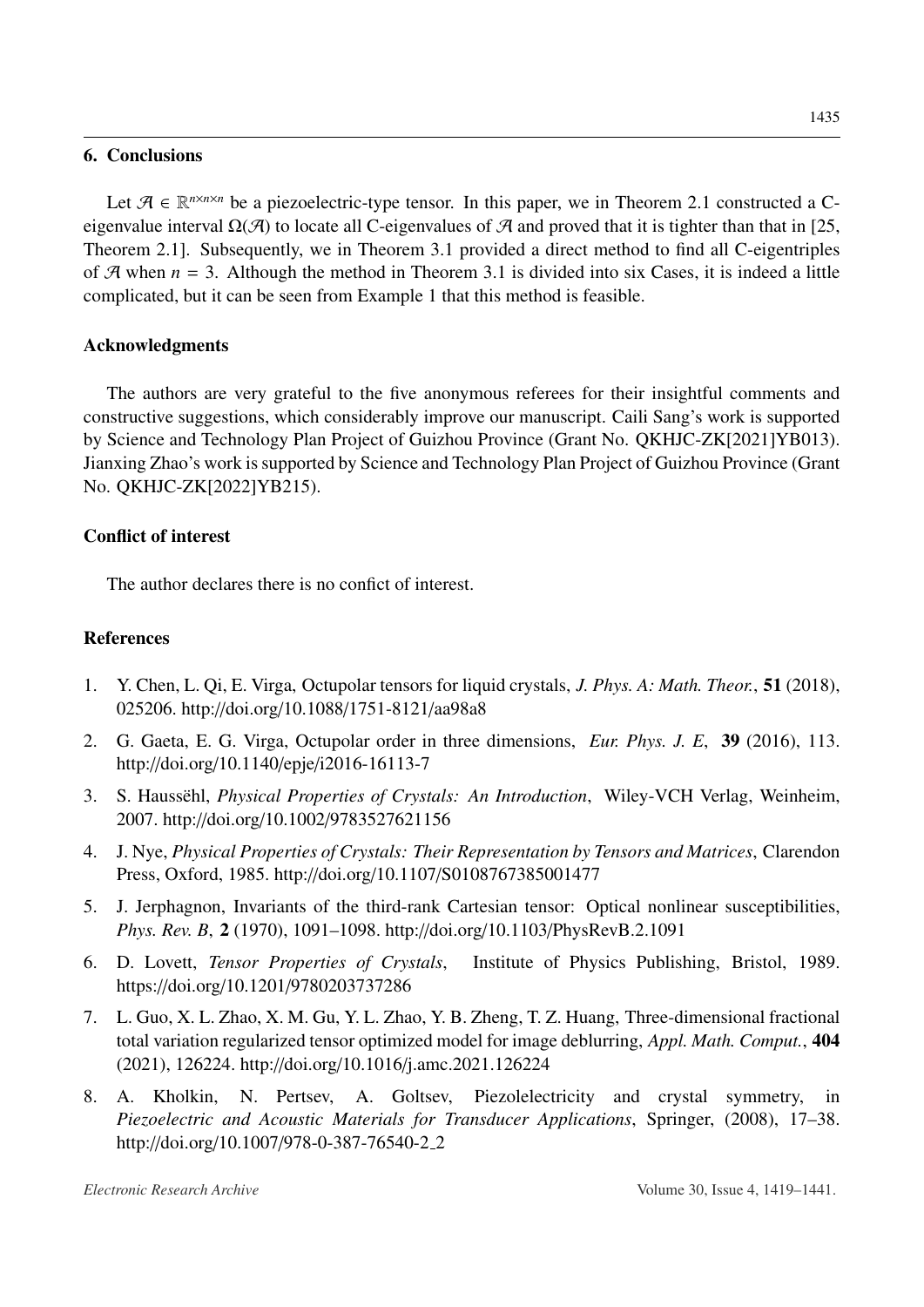### 6. Conclusions

Let  $\mathcal{A} \in \mathbb{R}^{n \times n \times n}$  be a piezoelectric-type tensor. In this paper, we in Theorem [2.1](#page-2-1) constructed a Ceigenvalue interval  $\Omega(\mathcal{A})$  to locate all C-eigenvalues of  $\mathcal{A}$  and proved that it is tighter than that in [\[25,](#page-17-10) Theorem 2.1]. Subsequently, we in Theorem [3.1](#page-5-0) provided a direct method to find all C-eigentriples of  $\mathcal A$  when  $n = 3$ . Although the method in Theorem [3.1](#page-5-0) is divided into six Cases, it is indeed a little complicated, but it can be seen from Example [1](#page-13-0) that this method is feasible.

# Acknowledgments

The authors are very grateful to the five anonymous referees for their insightful comments and constructive suggestions, which considerably improve our manuscript. Caili Sang's work is supported by Science and Technology Plan Project of Guizhou Province (Grant No. QKHJC-ZK[2021]YB013). Jianxing Zhao's work is supported by Science and Technology Plan Project of Guizhou Province (Grant No. QKHJC-ZK[2022]YB215).

### Conflict of interest

The author declares there is no confict of interest.

# References

- <span id="page-16-0"></span>1. Y. Chen, L. Qi, E. Virga, Octupolar tensors for liquid crystals, *J. Phys. A: Math. Theor.*, 51 (2018), 025206. http://doi.org/10.1088/[1751-8121](http://dx.doi.org/http://doi.org/10.1088/1751-8121/aa98a8)/aa98a8
- 2. G. Gaeta, E. G. Virga, Octupolar order in three dimensions, *Eur. Phys. J. E*, 39 (2016), 113. http://doi.org/10.1140/epje/[i2016-16113-7](http://dx.doi.org/http://doi.org/10.1140/epje/i2016-16113-7)
- 3. S. Haussehl, *Physical Properties of Crystals: An Introduction*, Wiley-VCH Verlag, Weinheim, 2007. http://doi.org/10.1002/[9783527621156](http://dx.doi.org/http://doi.org/10.1002/9783527621156)
- 4. J. Nye, *Physical Properties of Crystals: Their Representation by Tensors and Matrices*, Clarendon Press, Oxford, 1985. http://doi.org/10.1107/[S0108767385001477](http://dx.doi.org/http://doi.org/10.1107/S0108767385001477)
- 5. J. Jerphagnon, Invariants of the third-rank Cartesian tensor: Optical nonlinear susceptibilities, *Phys. Rev. B*, 2 (1970), 1091–1098. http://doi.org/10.1103/[PhysRevB.2.1091](http://dx.doi.org/http://doi.org/10.1103/PhysRevB.2.1091)
- <span id="page-16-1"></span>6. D. Lovett, *Tensor Properties of Crystals*, Institute of Physics Publishing, Bristol, 1989. https://doi.org/10.1201/[9780203737286](http://dx.doi.org/https://doi.org/10.1201/9780203737286)
- <span id="page-16-2"></span>7. L. Guo, X. L. Zhao, X. M. Gu, Y. L. Zhao, Y. B. Zheng, T. Z. Huang, Three-dimensional fractional total variation regularized tensor optimized model for image deblurring, *Appl. Math. Comput.*, 404 (2021), 126224. http://doi.org/10.1016/[j.amc.2021.126224](http://dx.doi.org/http://doi.org/10.1016/j.amc.2021.126224)
- 8. A. Kholkin, N. Pertsev, A. Goltsev, Piezolelectricity and crystal symmetry, in *Piezoelectric and Acoustic Materials for Transducer Applications*, Springer, (2008), 17–38. http://doi.org/10.1007/[978-0-387-76540-2](http://dx.doi.org/http://doi.org/10.1007/978-0-387-76540-2_2)\_2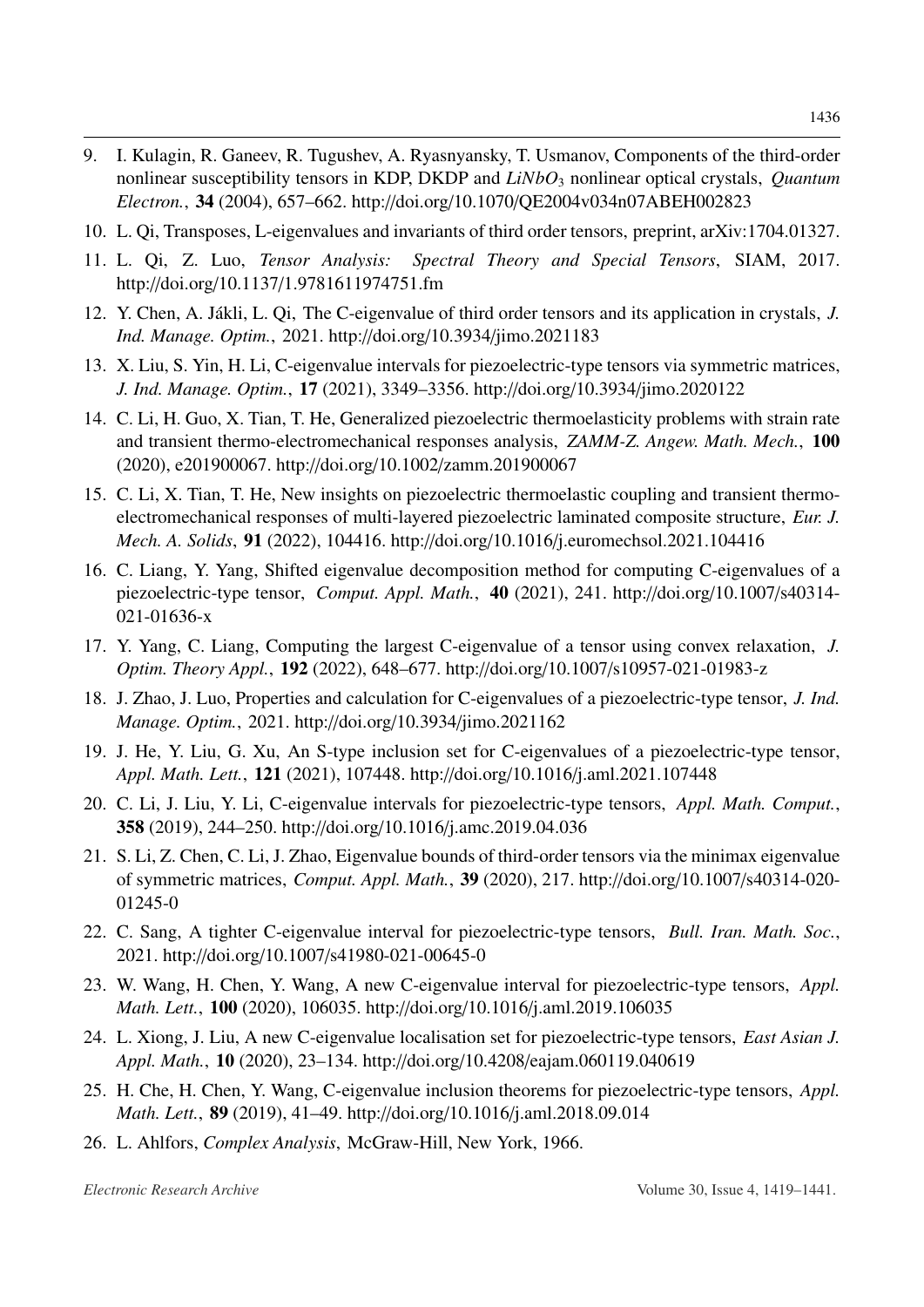- 9. I. Kulagin, R. Ganeev, R. Tugushev, A. Ryasnyansky, T. Usmanov, Components of the third-order nonlinear susceptibility tensors in KDP, DKDP and *LiNbO*<sup>3</sup> nonlinear optical crystals, *Quantum Electron.*, 34 (2004), 657–662. http://doi.org/10.1070/[QE2004v034n07ABEH002823](http://dx.doi.org/http://doi.org/10.1070/QE2004v034n07ABEH002823)
- 10. L. Qi, Transposes, L-eigenvalues and invariants of third order tensors, preprint, arXiv:1704.01327.
- <span id="page-17-0"></span>11. L. Qi, Z. Luo, *Tensor Analysis: Spectral Theory and Special Tensors*, SIAM, 2017. http://doi.org/10.1137/[1.9781611974751.fm](http://dx.doi.org/http://doi.org/10.1137/1.9781611974751.fm)
- <span id="page-17-1"></span>12. Y. Chen, A. Jákli, L. Qi, The C-eigenvalue of third order tensors and its application in crystals, *J. Ind. Manage. Optim.*, 2021. http://doi.org/10.3934/[jimo.2021183](http://dx.doi.org/http://doi.org/10.3934/jimo.2021183)
- <span id="page-17-2"></span>[13.](http://www.ams.org/mathscinet-getitem?mr=MR4325778&return=pdf) X. Liu, S. Yin, H. Li, C-eigenvalue intervals for piezoelectric-type tensors via symmetric matrices, *J. Ind. Manage. Optim.*, 17 (2021), 3349–3356. http://doi.org/10.3934/[jimo.2020122](http://dx.doi.org/http://doi.org/10.3934/jimo.2020122)
- <span id="page-17-3"></span>14. C. Li, H. Guo, X. Tian, T. He, Generalized piezoelectric thermoelasticity problems with strain rate and transient thermo-electromechanical responses analysis, *ZAMM-Z. Angew. Math. Mech.*, 100 (2020), e201900067. http://doi.org/10.1002/[zamm.201900067](http://dx.doi.org/http://doi.org/10.1002/zamm.201900067)
- <span id="page-17-4"></span>15. C. Li, X. Tian, T. He, New insights on piezoelectric thermoelastic coupling and transient thermoelectromechanical responses of multi-layered piezoelectric laminated composite structure, *Eur. J. Mech. A. Solids*, 91 (2022), 104416. http://doi.org/10.1016/[j.euromechsol.2021.104416](http://dx.doi.org/http://doi.org/10.1016/j.euromechsol.2021.104416)
- <span id="page-17-5"></span>[16.](http://www.ams.org/mathscinet-getitem?mr=MR4314147&return=pdf) C. Liang, Y. Yang, Shifted eigenvalue decomposition method for computing C-eigenvalues of a piezoelectric-type tensor, *Comput. Appl. Math.*, 40 (2021), 241. http://doi.org/[10.1007](http://dx.doi.org/http://doi.org/10.1007/s40314-021-01636-x)/s40314- [021-01636-x](http://dx.doi.org/http://doi.org/10.1007/s40314-021-01636-x)
- <span id="page-17-6"></span>17. Y. Yang, C. Liang, Computing the largest C-eigenvalue of a tensor using convex relaxation, *J. Optim. Theory Appl.*, 192 (2022), 648–677. http://doi.org/10.1007/[s10957-021-01983-z](http://dx.doi.org/http://doi.org/10.1007/s10957-021-01983-z)
- <span id="page-17-7"></span>18. J. Zhao, J. Luo, Properties and calculation for C-eigenvalues of a piezoelectric-type tensor, *J. Ind. Manage. Optim.*, 2021. http://doi.org/10.3934/[jimo.2021162](http://dx.doi.org/http://doi.org/10.3934/jimo.2021162)
- <span id="page-17-8"></span>[19.](http://www.ams.org/mathscinet-getitem?mr=MR4271501&return=pdf) J. He, Y. Liu, G. Xu, An S-type inclusion set for C-eigenvalues of a piezoelectric-type tensor, *Appl. Math. Lett.*, 121 (2021), 107448. http://doi.org/10.1016/[j.aml.2021.107448](http://dx.doi.org/http://doi.org/10.1016/j.aml.2021.107448)
- <span id="page-17-12"></span>[20.](http://www.ams.org/mathscinet-getitem?mr=MR3944528&return=pdf) C. Li, J. Liu, Y. Li, C-eigenvalue intervals for piezoelectric-type tensors, *Appl. Math. Comput.*, 358 (2019), 244–250. http://doi.org/10.1016/[j.amc.2019.04.036](http://dx.doi.org/http://doi.org/10.1016/j.amc.2019.04.036)
- <span id="page-17-14"></span>[21.](http://www.ams.org/mathscinet-getitem?mr=MR4123853&return=pdf) S. Li, Z. Chen, C. Li, J. Zhao, Eigenvalue bounds of third-order tensors via the minimax eigenvalue of symmetric matrices, *Comput. Appl. Math.*, 39 (2020), 217. http://doi.org/10.1007/[s40314-020-](http://dx.doi.org/http://doi.org/10.1007/s40314-020-01245-0) [01245-0](http://dx.doi.org/http://doi.org/10.1007/s40314-020-01245-0)
- <span id="page-17-15"></span>22. C. Sang, A tighter C-eigenvalue interval for piezoelectric-type tensors, *Bull. Iran. Math. Soc.*, 2021. http://doi.org/10.1007/[s41980-021-00645-0](http://dx.doi.org/http://doi.org/10.1007/s41980-021-00645-0)
- <span id="page-17-13"></span>[23.](http://www.ams.org/mathscinet-getitem?mr=MR4001165&return=pdf) W. Wang, H. Chen, Y. Wang, A new C-eigenvalue interval for piezoelectric-type tensors, *Appl. Math. Lett.*, 100 (2020), 106035. http://doi.org/10.1016/[j.aml.2019.106035](http://dx.doi.org/http://doi.org/10.1016/j.aml.2019.106035)
- <span id="page-17-9"></span>[24.](http://www.ams.org/mathscinet-getitem?mr=MR4058700&return=pdf) L. Xiong, J. Liu, A new C-eigenvalue localisation set for piezoelectric-type tensors, *East Asian J. Appl. Math.*, 10 (2020), 23–134. http://doi.org/10.4208/[eajam.060119.040619](http://dx.doi.org/http://doi.org/10.4208/eajam.060119.040619)
- <span id="page-17-10"></span>[25.](http://www.ams.org/mathscinet-getitem?mr=MR3886975&return=pdf) H. Che, H. Chen, Y. Wang, C-eigenvalue inclusion theorems for piezoelectric-type tensors, *Appl. Math. Lett.*, 89 (2019), 41–49. http://doi.org/10.1016/[j.aml.2018.09.014](http://dx.doi.org/http://doi.org/10.1016/j.aml.2018.09.014)
- <span id="page-17-11"></span>26. L. Ahlfors, *Complex Analysis*, McGraw-Hill, New York, 1966.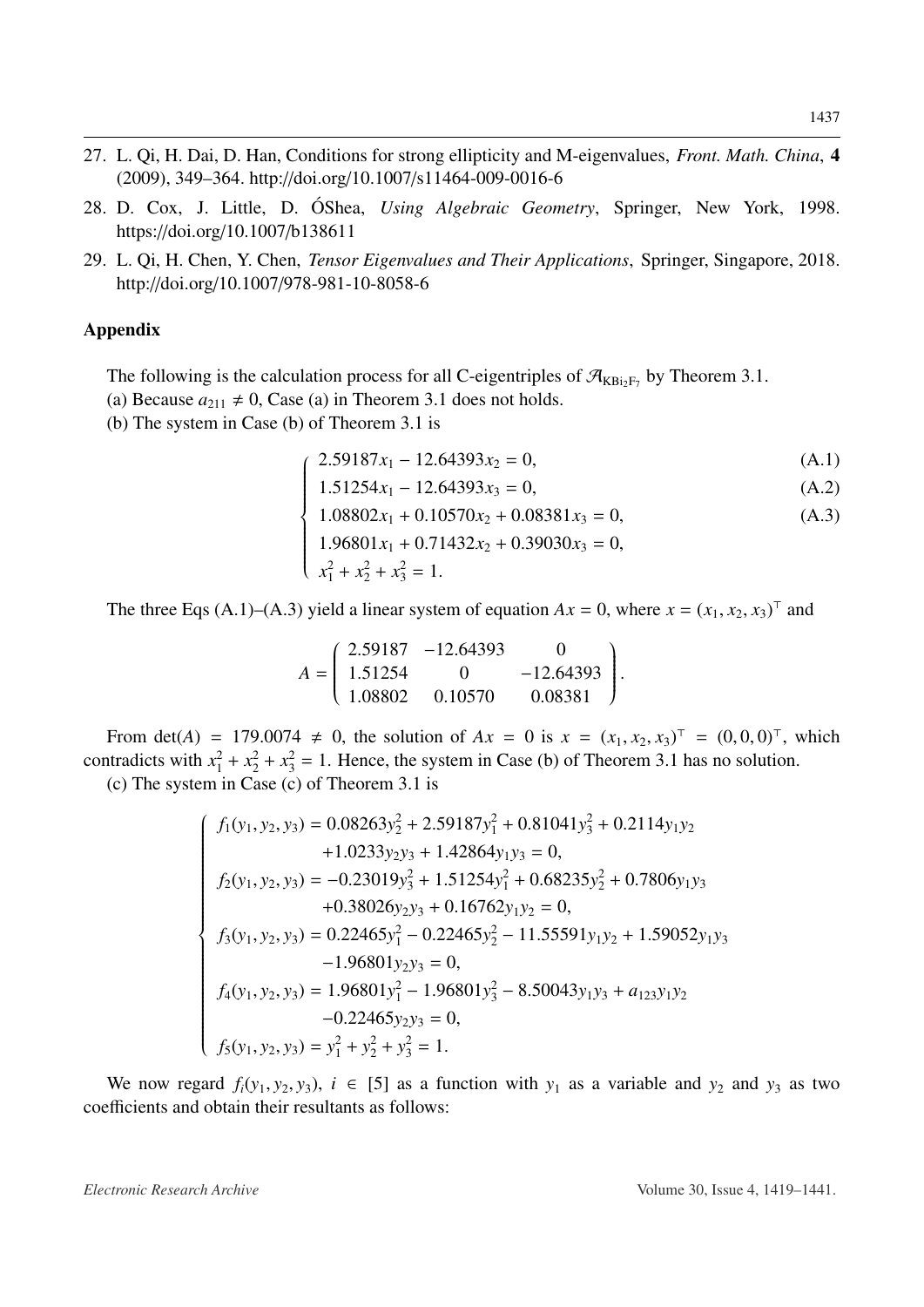- <span id="page-18-0"></span>27. L. Qi, H. Dai, D. Han, Conditions for strong ellipticity and M-eigenvalues, *Front. Math. China*, 4 (2009), 349–364. http://doi.org/10.1007/[s11464-009-0016-6](http://dx.doi.org/http://doi.org/10.1007/s11464-009-0016-6)
- <span id="page-18-1"></span>28. D. Cox, J. Little, D. ÓShea, Using Algebraic Geometry, Springer, New York, 1998. https://doi.org/10.1007/[b138611](http://dx.doi.org/https://doi.org/10.1007/b138611)
- <span id="page-18-2"></span>29. L. Qi, H. Chen, Y. Chen, *Tensor Eigenvalues and Their Applications*, Springer, Singapore, 2018. http://doi.org/10.1007/[978-981-10-8058-6](http://dx.doi.org/http://doi.org/10.1007/978-981-10-8058-6)

### <span id="page-18-3"></span>Appendix

The following is the calculation process for all C-eigentriples of  $\mathcal{A}_{KBi_2F_7}$  by Theorem [3.1.](#page-5-0)

(a) Because  $a_{211} \neq 0$ , Case (a) in Theorem [3.1](#page-5-0) does not holds.

(b) The system in Case (b) of Theorem [3.1](#page-5-0) is

 $\sqrt{ }$ 

 $\begin{array}{c} \hline \end{array}$ 

$$
2.59187x_1 - 12.64393x_2 = 0,\tag{A.1}
$$

$$
1.51254x_1 - 12.64393x_3 = 0,
$$
\n
$$
(A.2)
$$
\n
$$
1.99992 + 0.10579 + 0.09991 = 0.
$$

$$
1.08802x_1 + 0.10570x_2 + 0.08381x_3 = 0,
$$
\n
$$
1.06801 + 0.71422 + 0.08381x_3 = 0.
$$
\n(A.3)

$$
1.96801x_1 + 0.71432x_2 + 0.39030x_3 = 0,
$$

$$
\begin{cases}\n1.96801x_1 + 0.71 \\
x_1^2 + x_2^2 + x_3^2 = 1.\n\end{cases}
$$

The three Eqs [\(A.1\)](#page-18-3)–[\(A.3\)](#page-18-3) yield a linear system of equation  $Ax = 0$ , where  $x = (x_1, x_2, x_3)^\top$  and

$$
A = \begin{pmatrix} 2.59187 & -12.64393 & 0 \\ 1.51254 & 0 & -12.64393 \\ 1.08802 & 0.10570 & 0.08381 \end{pmatrix}.
$$

From det(*A*) = 179.0074  $\neq$  0, the solution of *Ax* = 0 is  $x = (x_1, x_2, x_3)^T = (0, 0, 0)^T$ , which contradicts with  $x_1^2 + x_2^2 + x_3^2 = 1$ . Hence, the system in Case (b) of Theorem [3.1](#page-5-0) has no solution.

(c) The system in Case (c) of Theorem [3.1](#page-5-0) is

$$
\begin{cases}\nf_1(y_1, y_2, y_3) = 0.08263y_2^2 + 2.59187y_1^2 + 0.81041y_3^2 + 0.2114y_1y_2 \\
+ 1.0233y_2y_3 + 1.42864y_1y_3 = 0, \\
f_2(y_1, y_2, y_3) = -0.23019y_3^2 + 1.51254y_1^2 + 0.68235y_2^2 + 0.7806y_1y_3 \\
+ 0.38026y_2y_3 + 0.16762y_1y_2 = 0, \\
f_3(y_1, y_2, y_3) = 0.22465y_1^2 - 0.22465y_2^2 - 11.55591y_1y_2 + 1.59052y_1y_3 \\
- 1.96801y_2y_3 = 0, \\
f_4(y_1, y_2, y_3) = 1.96801y_1^2 - 1.96801y_3^2 - 8.50043y_1y_3 + a_{123}y_1y_2 \\
- 0.22465y_2y_3 = 0, \\
f_5(y_1, y_2, y_3) = y_1^2 + y_2^2 + y_3^2 = 1.\n\end{cases}
$$

We now regard  $f_i(y_1, y_2, y_3)$ ,  $i \in [5]$  as a function with  $y_1$  as a variable and  $y_2$  and  $y_3$  as two coefficients and obtain their resultants as follows: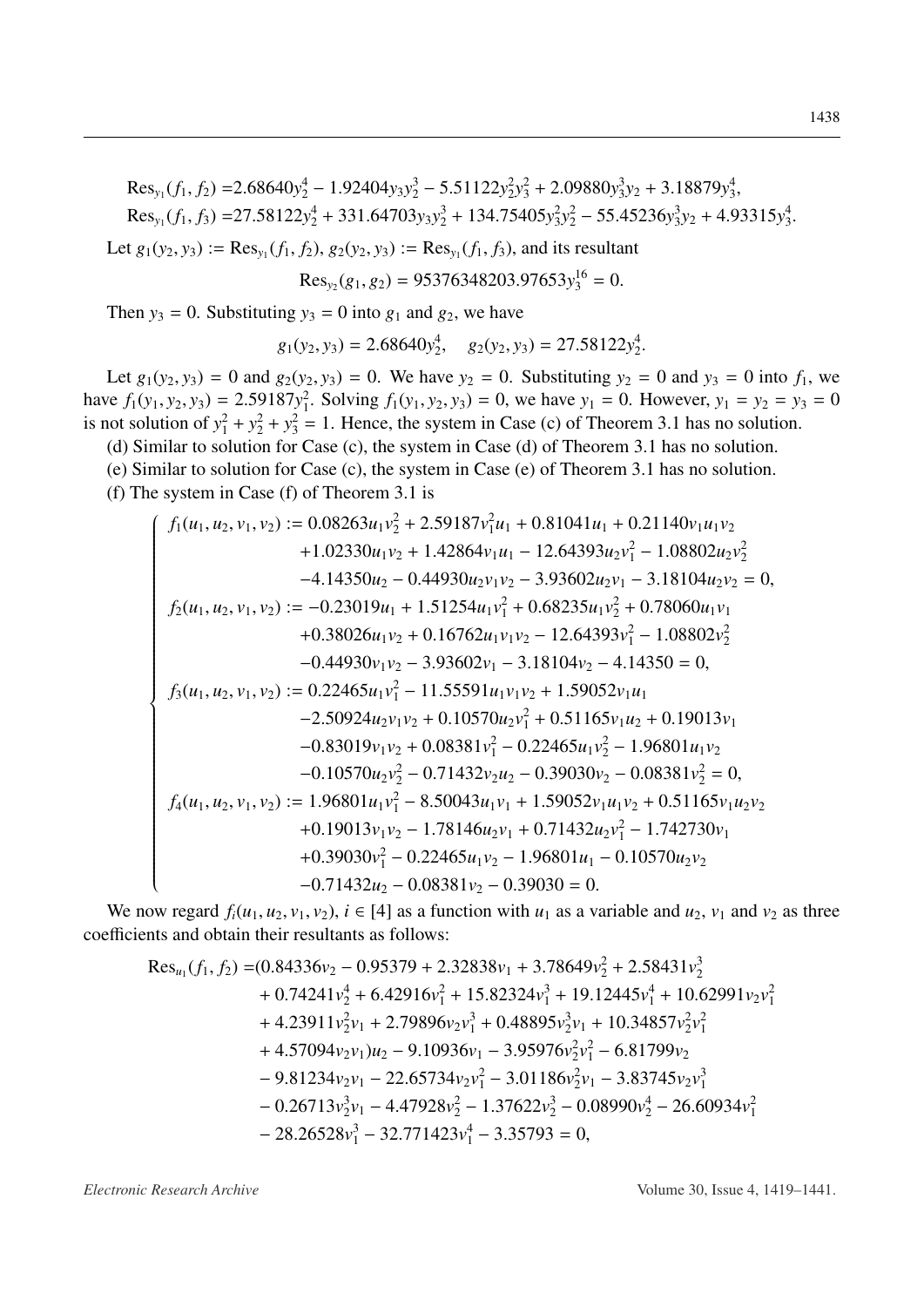$Res_{y_1}(f_1, f_2) = 2.68640y_2^4 - 1.92404y_3y_2^3 - 5.51122y_2^2y_3^2 + 2.09880y_3^3y_2 + 3.18879y_3^4$  $Res_{y_1}(f_1, f_3) = 27.58122y_2^4 + 331.64703y_3y_2^3 + 134.75405y_3^2y_2^2 - 55.45236y_3^3y_2 + 4.93315y_3^4$ .

Let  $g_1(y_2, y_3) := \text{Res}_{y_1}(f_1, f_2), g_2(y_2, y_3) := \text{Res}_{y_1}(f_1, f_3)$ , and its resultant

$$
\text{Res}_{y_2}(g_1, g_2) = 95376348203.97653y_3^{16} = 0.
$$

Then  $y_3 = 0$ . Substituting  $y_3 = 0$  into  $g_1$  and  $g_2$ , we have

$$
g_1(y_2, y_3) = 2.68640y_2^4
$$
,  $g_2(y_2, y_3) = 27.58122y_2^4$ .

Let  $g_1(y_2, y_3) = 0$  and  $g_2(y_2, y_3) = 0$ . We have  $y_2 = 0$ . Substituting  $y_2 = 0$  and  $y_3 = 0$  into  $f_1$ , we have  $f_1(y_1, y_2, y_3) = 2.59187y_1^2$ . Solving  $f_1(y_1, y_2, y_3) = 0$ , we have  $y_1 = 0$ . However,  $y_1 = y_2 = y_3 = 0$ is not solution of  $y_1^2 + y_2^2 + y_3^2 = 1$ . Hence, the system in Case (c) of Theorem 3.1 has no solution.

(d) Similar to solution for Case (c), the system in Case (d) of Theorem 3.1 has no solution.

(e) Similar to solution for Case (c), the system in Case (e) of Theorem 3.1 has no solution.

(f) The system in Case (f) of Theorem 3.1 is

$$
\int f_1(u_1, u_2, v_1, v_2) := 0.08263u_1v_2^2 + 2.59187v_1^2u_1 + 0.81041u_1 + 0.21140v_1u_1v_2
$$
  
+1.02330u<sub>1</sub>v<sub>2</sub> + 1.42864v<sub>1</sub>u<sub>1</sub> - 12.64393u<sub>2</sub>v<sub>1</sub><sup>2</sup> - 1.08802u<sub>2</sub>v<sub>2</sub><sup>2</sup>  
-4.14350u<sub>2</sub> - 0.44930u<sub>2</sub>v<sub>1</sub>v<sub>2</sub> - 3.93602u<sub>2</sub>v<sub>1</sub> - 3.18104u<sub>2</sub>v<sub>2</sub> = 0,  
 $f_2(u_1, u_2, v_1, v_2) := -0.23019u_1 + 1.51254u_1v_1^2 + 0.68235u_1v_2^2 + 0.78060u_1v_1$   
+0.38026u<sub>1</sub>v<sub>2</sub> + 0.16762u<sub>1</sub>v<sub>1</sub>v<sub>2</sub> - 12.64393v<sub>1</sub><sup>2</sup> - 1.08802v<sub>2</sub><sup>2</sup>  
-0.44930v<sub>1</sub>v<sub>2</sub> - 3.93602v<sub>1</sub> - 3.18104v<sub>2</sub> - 4.14350 = 0,  
 $f_3(u_1, u_2, v_1, v_2) := 0.22465u_1v_1^2 - 11.55591u_1v_1v_2 + 1.59052v_1u_1$   
-2.50924u<sub>2</sub>v<sub>1</sub>v<sub>2</sub> + 0.10570u<sub>2</sub>v<sub>1</sub><sup>2</sup> + 0.51165v<sub>1</sub>u<sub>2</sub> + 0.19013v<sub>1</sub>  
-0.83019v<sub>1</sub>v<sub>2</sub>

We now regard  $f_i(u_1, u_2, v_1, v_2)$ ,  $i \in [4]$  as a function with  $u_1$  as a variable and  $u_2$ ,  $v_1$  and  $v_2$  as three coefficients and obtain their resultants as follows:

$$
Res_{u_1}(f_1, f_2) = (0.84336v_2 - 0.95379 + 2.32838v_1 + 3.78649v_2^2 + 2.58431v_2^3
$$
  
+ 0.74241v\_2^4 + 6.42916v\_1^2 + 15.82324v\_1^3 + 19.12445v\_1^4 + 10.62991v\_2v\_1^2  
+ 4.23911v\_2^2v\_1 + 2.79896v\_2v\_1^3 + 0.48895v\_2^3v\_1 + 10.34857v\_2^2v\_1^2  
+ 4.57094v\_2v\_1)u\_2 - 9.10936v\_1 - 3.95976v\_2^2v\_1^2 - 6.81799v\_2  
- 9.81234v\_2v\_1 - 22.65734v\_2v\_1^2 - 3.01186v\_2^2v\_1 - 3.83745v\_2v\_1^3  
- 0.26713v\_2^3v\_1 - 4.47928v\_2^2 - 1.37622v\_2^3 - 0.08990v\_2^4 - 26.60934v\_1^2  
- 28.26528v\_1^3 - 32.771423v\_1^4 - 3.35793 = 0.

Electronic Research Archive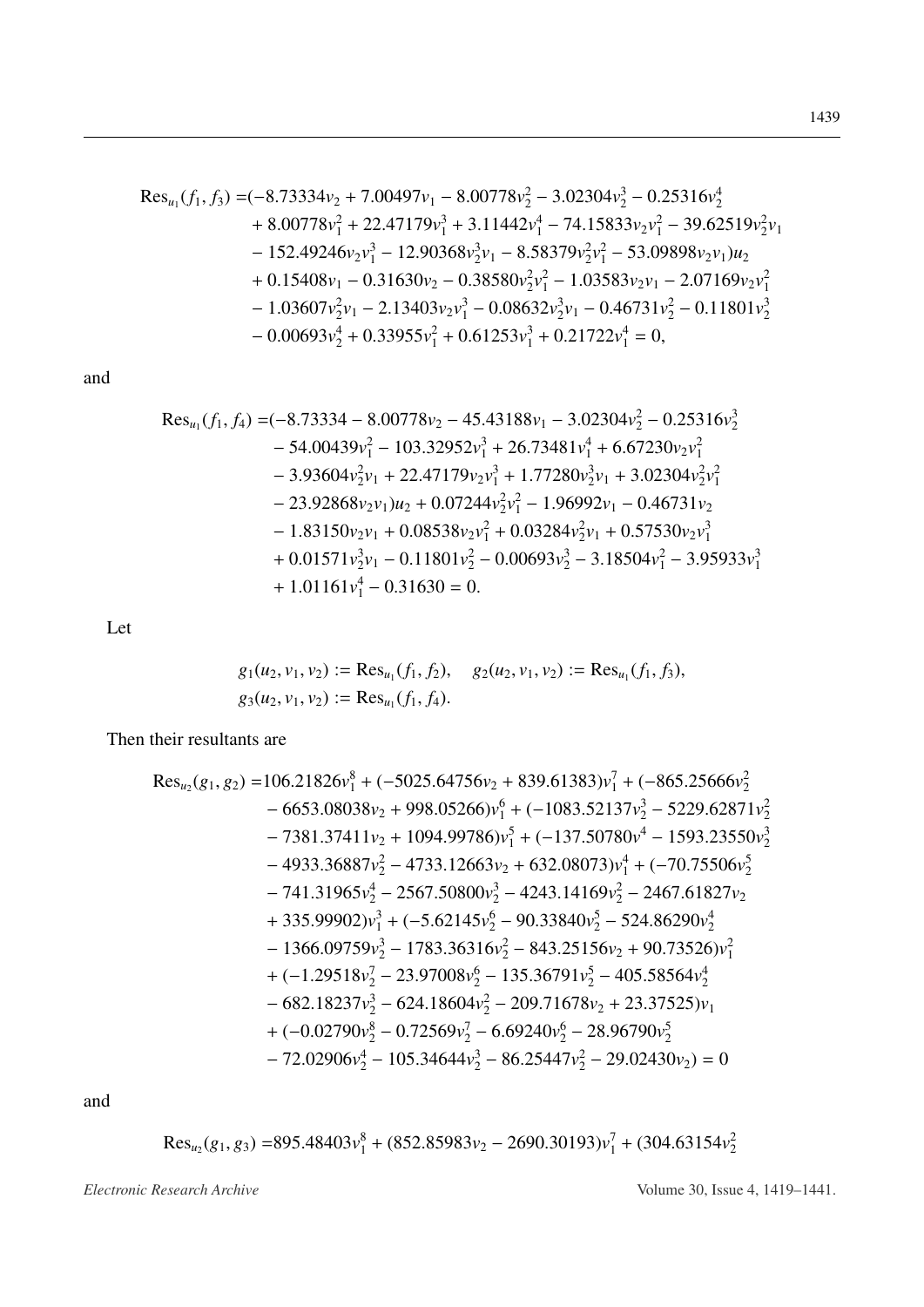and

Let

$$
g_1(u_2, v_1, v_2) := \text{Res}_{u_1}(f_1, f_2), \quad g_2(u_2, v_1, v_2) := \text{Res}_{u_1}(f_1, f_3),
$$
  
 $g_3(u_2, v_1, v_2) := \text{Res}_{u_1}(f_1, f_4).$ 

Then their resultants are

and

$$
Res_{u_2}(g_1, g_3) = 895.48403v_1^8 + (852.85983v_2 - 2690.30193)v_1^7 + (304.63154v_2^2)
$$

Electronic Research Archive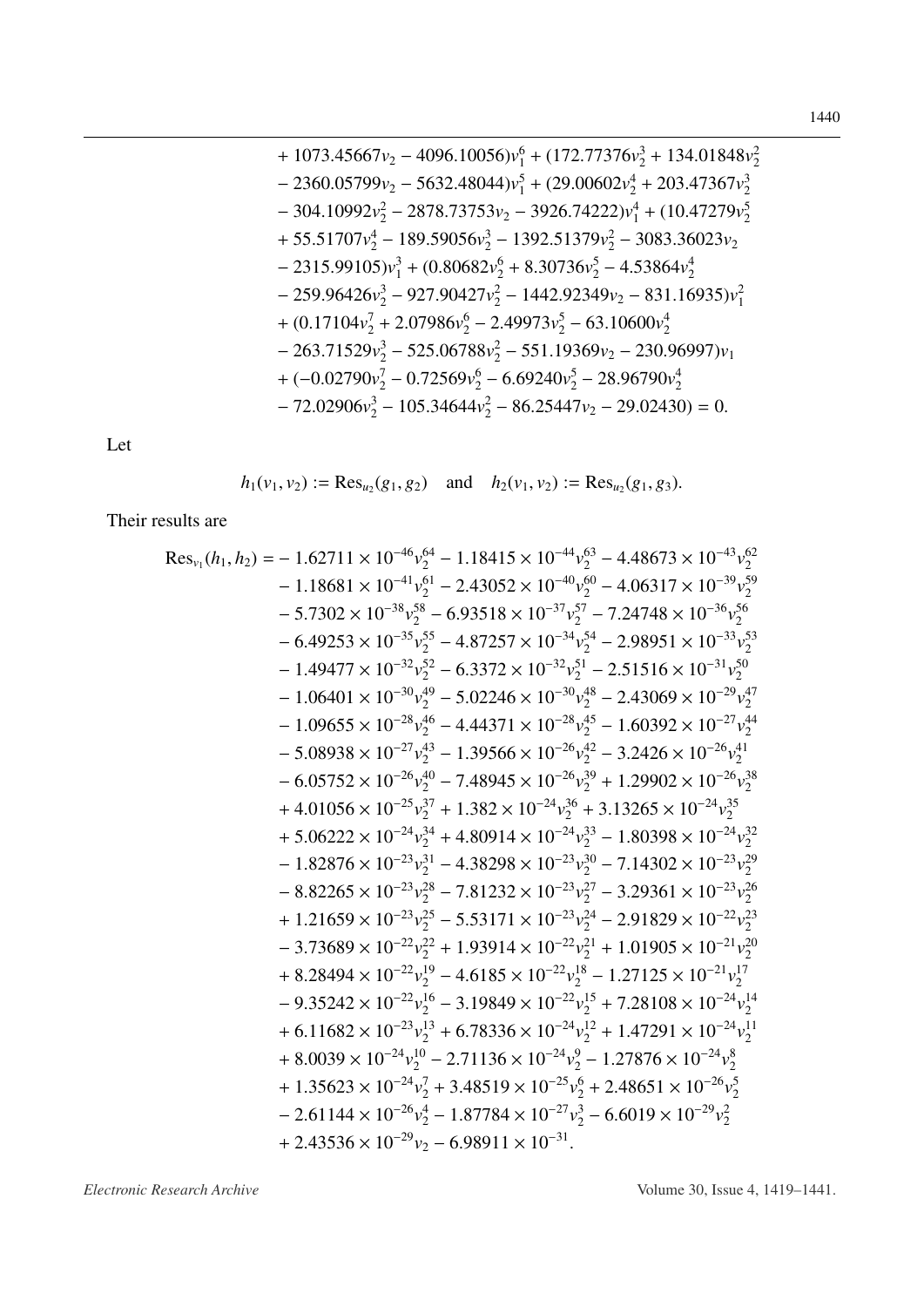+ 1073.45667
$$
v_2
$$
 - 4096.10056) $v_1^6$  + (172.77376 $v_2^3$  + 134.01848 $v_2^2$   
\n- 2360.05799 $v_2$  - 5632.48044) $v_1^5$  + (29.00602 $v_2^4$  + 203.47367 $v_2^3$   
\n- 304.10992 $v_2^2$  - 2878.73753 $v_2$  - 3926.74222) $v_1^4$  + (10.47279 $v_2^5$   
\n+ 55.51707 $v_2^4$  - 189.59056 $v_2^3$  - 1392.51379 $v_2^2$  - 3083.36023 $v_2$   
\n- 2315.99105) $v_1^3$  + (0.80682 $v_2^6$  + 8.30736 $v_2^5$  - 4.53864 $v_2^4$   
\n- 259.96426 $v_2^3$  - 927.90427 $v_2^2$  - 1442.92349 $v_2$  - 831.16935) $v_1^2$   
\n+ (0.17104 $v_2^7$  + 2.07986 $v_2^6$  - 2.49973 $v_2^5$  - 63.10600 $v_2^4$   
\n- 263.71529 $v_2^3$  - 525.06788 $v_2^2$  - 551.19369 $v_2$  - 230.96997) $v_1$   
\n+ (-0.02790 $v_2^7$  - 0.72569 $v_2^6$  - 6.69240 $v_2^5$  - 28.96790 $v_2^4$   
\n- 72.0290

Let

$$
h_1(v_1, v_2) := \text{Res}_{u_2}(g_1, g_2)
$$
 and  $h_2(v_1, v_2) := \text{Res}_{u_2}(g_1, g_3)$ .

Their results are

Electronic Research Archive